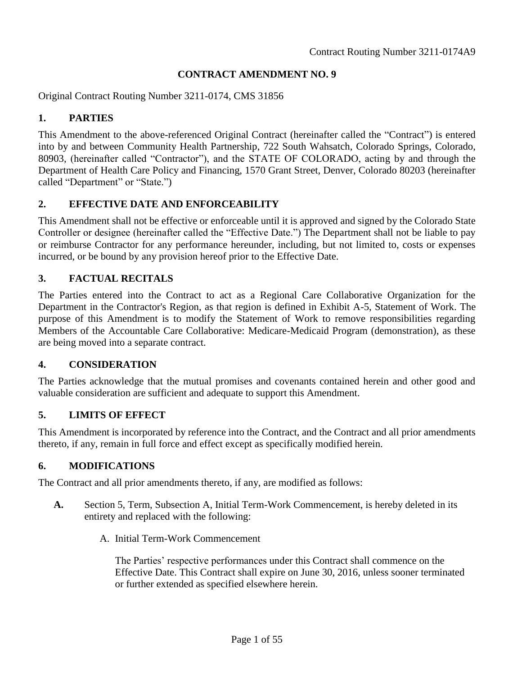#### **CONTRACT AMENDMENT NO. 9**

Original Contract Routing Number 3211-0174, CMS 31856

## **1. PARTIES**

This Amendment to the above-referenced Original Contract (hereinafter called the "Contract") is entered into by and between Community Health Partnership, 722 South Wahsatch, Colorado Springs, Colorado, 80903, (hereinafter called "Contractor"), and the STATE OF COLORADO, acting by and through the Department of Health Care Policy and Financing, 1570 Grant Street, Denver, Colorado 80203 (hereinafter called "Department" or "State.")

## **2. EFFECTIVE DATE AND ENFORCEABILITY**

This Amendment shall not be effective or enforceable until it is approved and signed by the Colorado State Controller or designee (hereinafter called the "Effective Date.") The Department shall not be liable to pay or reimburse Contractor for any performance hereunder, including, but not limited to, costs or expenses incurred, or be bound by any provision hereof prior to the Effective Date.

## **3. FACTUAL RECITALS**

The Parties entered into the Contract to act as a Regional Care Collaborative Organization for the Department in the Contractor's Region, as that region is defined in Exhibit A-5, Statement of Work. The purpose of this Amendment is to modify the Statement of Work to remove responsibilities regarding Members of the Accountable Care Collaborative: Medicare-Medicaid Program (demonstration), as these are being moved into a separate contract.

#### **4. CONSIDERATION**

The Parties acknowledge that the mutual promises and covenants contained herein and other good and valuable consideration are sufficient and adequate to support this Amendment.

## **5. LIMITS OF EFFECT**

This Amendment is incorporated by reference into the Contract, and the Contract and all prior amendments thereto, if any, remain in full force and effect except as specifically modified herein.

#### **6. MODIFICATIONS**

The Contract and all prior amendments thereto, if any, are modified as follows:

- **A.** Section 5, Term, Subsection A, Initial Term-Work Commencement, is hereby deleted in its entirety and replaced with the following:
	- A. Initial Term-Work Commencement

The Parties' respective performances under this Contract shall commence on the Effective Date. This Contract shall expire on June 30, 2016, unless sooner terminated or further extended as specified elsewhere herein.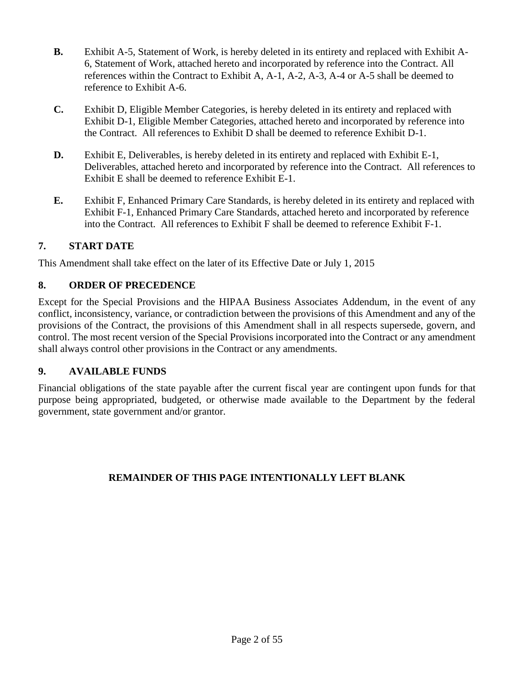- **B.** Exhibit A-5, Statement of Work, is hereby deleted in its entirety and replaced with Exhibit A-6, Statement of Work, attached hereto and incorporated by reference into the Contract. All references within the Contract to Exhibit A, A-1, A-2, A-3, A-4 or A-5 shall be deemed to reference to Exhibit A-6.
- **C.** Exhibit D, Eligible Member Categories, is hereby deleted in its entirety and replaced with Exhibit D-1, Eligible Member Categories, attached hereto and incorporated by reference into the Contract. All references to Exhibit D shall be deemed to reference Exhibit D-1.
- **D.** Exhibit E, Deliverables, is hereby deleted in its entirety and replaced with Exhibit E-1, Deliverables, attached hereto and incorporated by reference into the Contract. All references to Exhibit E shall be deemed to reference Exhibit E-1.
- **E.** Exhibit F, Enhanced Primary Care Standards, is hereby deleted in its entirety and replaced with Exhibit F-1, Enhanced Primary Care Standards, attached hereto and incorporated by reference into the Contract. All references to Exhibit F shall be deemed to reference Exhibit F-1.

# **7. START DATE**

This Amendment shall take effect on the later of its Effective Date or July 1, 2015

## **8. ORDER OF PRECEDENCE**

Except for the Special Provisions and the HIPAA Business Associates Addendum, in the event of any conflict, inconsistency, variance, or contradiction between the provisions of this Amendment and any of the provisions of the Contract, the provisions of this Amendment shall in all respects supersede, govern, and control. The most recent version of the Special Provisions incorporated into the Contract or any amendment shall always control other provisions in the Contract or any amendments.

## **9. AVAILABLE FUNDS**

Financial obligations of the state payable after the current fiscal year are contingent upon funds for that purpose being appropriated, budgeted, or otherwise made available to the Department by the federal government, state government and/or grantor.

## **REMAINDER OF THIS PAGE INTENTIONALLY LEFT BLANK**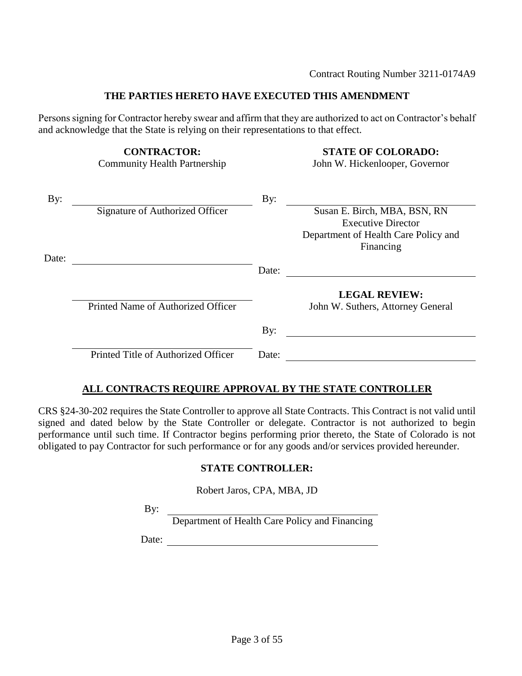#### **THE PARTIES HERETO HAVE EXECUTED THIS AMENDMENT**

Persons signing for Contractor hereby swear and affirm that they are authorized to act on Contractor's behalf and acknowledge that the State is relying on their representations to that effect.

**CONTRACTOR: STATE OF COLORADO:**

Community Health Partnership John W. Hickenlooper, Governor

| By:   |                                     | By:   |                                      |
|-------|-------------------------------------|-------|--------------------------------------|
|       | Signature of Authorized Officer     |       | Susan E. Birch, MBA, BSN, RN         |
|       |                                     |       | <b>Executive Director</b>            |
|       |                                     |       | Department of Health Care Policy and |
|       |                                     |       | Financing                            |
| Date: |                                     |       |                                      |
|       |                                     | Date: |                                      |
|       |                                     |       | <b>LEGAL REVIEW:</b>                 |
|       | Printed Name of Authorized Officer  |       | John W. Suthers, Attorney General    |
|       |                                     | By:   |                                      |
|       | Printed Title of Authorized Officer | Date: |                                      |
|       |                                     |       |                                      |

## **ALL CONTRACTS REQUIRE APPROVAL BY THE STATE CONTROLLER**

CRS §24-30-202 requires the State Controller to approve all State Contracts. This Contract is not valid until signed and dated below by the State Controller or delegate. Contractor is not authorized to begin performance until such time. If Contractor begins performing prior thereto, the State of Colorado is not obligated to pay Contractor for such performance or for any goods and/or services provided hereunder.

#### **STATE CONTROLLER:**

Robert Jaros, CPA, MBA, JD

By:

Department of Health Care Policy and Financing

Date: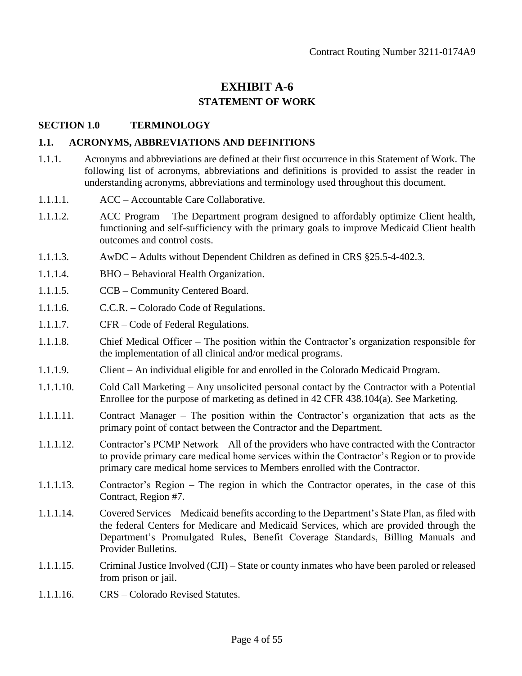# **EXHIBIT A-6 STATEMENT OF WORK**

#### **SECTION 1.0 TERMINOLOGY**

#### **1.1. ACRONYMS, ABBREVIATIONS AND DEFINITIONS**

- 1.1.1. Acronyms and abbreviations are defined at their first occurrence in this Statement of Work. The following list of acronyms, abbreviations and definitions is provided to assist the reader in understanding acronyms, abbreviations and terminology used throughout this document.
- 1.1.1.1. ACC Accountable Care Collaborative.
- 1.1.1.2. ACC Program The Department program designed to affordably optimize Client health, functioning and self-sufficiency with the primary goals to improve Medicaid Client health outcomes and control costs.
- 1.1.1.3. AwDC Adults without Dependent Children as defined in CRS §25.5-4-402.3.
- 1.1.1.4. BHO Behavioral Health Organization.
- 1.1.1.5. CCB Community Centered Board.
- 1.1.1.6. C.C.R. Colorado Code of Regulations.
- 1.1.1.7. CFR Code of Federal Regulations.
- 1.1.1.8. Chief Medical Officer The position within the Contractor's organization responsible for the implementation of all clinical and/or medical programs.
- 1.1.1.9. Client An individual eligible for and enrolled in the Colorado Medicaid Program.
- 1.1.1.10. Cold Call Marketing Any unsolicited personal contact by the Contractor with a Potential Enrollee for the purpose of marketing as defined in 42 CFR 438.104(a). See Marketing.
- 1.1.1.11. Contract Manager The position within the Contractor's organization that acts as the primary point of contact between the Contractor and the Department.
- 1.1.1.12. Contractor's PCMP Network All of the providers who have contracted with the Contractor to provide primary care medical home services within the Contractor's Region or to provide primary care medical home services to Members enrolled with the Contractor.
- 1.1.1.13. Contractor's Region The region in which the Contractor operates, in the case of this Contract, Region #7.
- 1.1.1.14. Covered Services Medicaid benefits according to the Department's State Plan, as filed with the federal Centers for Medicare and Medicaid Services, which are provided through the Department's Promulgated Rules, Benefit Coverage Standards, Billing Manuals and Provider Bulletins.
- 1.1.1.15. Criminal Justice Involved (CJI) State or county inmates who have been paroled or released from prison or jail.
- 1.1.1.16. CRS Colorado Revised Statutes.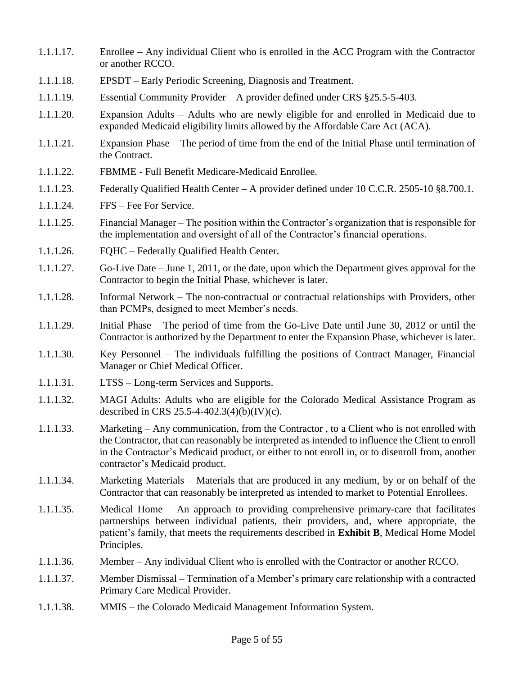- 1.1.1.17. Enrollee Any individual Client who is enrolled in the ACC Program with the Contractor or another RCCO.
- 1.1.1.18. EPSDT Early Periodic Screening, Diagnosis and Treatment.
- 1.1.1.19. Essential Community Provider A provider defined under CRS §25.5-5-403.
- 1.1.1.20. Expansion Adults Adults who are newly eligible for and enrolled in Medicaid due to expanded Medicaid eligibility limits allowed by the Affordable Care Act (ACA).
- 1.1.1.21. Expansion Phase The period of time from the end of the Initial Phase until termination of the Contract.
- 1.1.1.22. FBMME Full Benefit Medicare-Medicaid Enrollee.
- 1.1.1.23. Federally Qualified Health Center A provider defined under 10 C.C.R. 2505-10 §8.700.1.
- 1.1.1.24. FFS Fee For Service.
- 1.1.1.25. Financial Manager The position within the Contractor's organization that is responsible for the implementation and oversight of all of the Contractor's financial operations.
- 1.1.1.26. FQHC Federally Qualified Health Center.
- 1.1.1.27. Go-Live Date June 1, 2011, or the date, upon which the Department gives approval for the Contractor to begin the Initial Phase, whichever is later.
- 1.1.1.28. Informal Network The non-contractual or contractual relationships with Providers, other than PCMPs, designed to meet Member's needs.
- 1.1.1.29. Initial Phase The period of time from the Go-Live Date until June 30, 2012 or until the Contractor is authorized by the Department to enter the Expansion Phase, whichever is later.
- 1.1.1.30. Key Personnel The individuals fulfilling the positions of Contract Manager, Financial Manager or Chief Medical Officer.
- 1.1.1.31. LTSS Long-term Services and Supports.
- 1.1.1.32. MAGI Adults: Adults who are eligible for the Colorado Medical Assistance Program as described in CRS 25.5-4-402.3(4)(b)(IV)(c).
- 1.1.1.33. Marketing Any communication, from the Contractor , to a Client who is not enrolled with the Contractor, that can reasonably be interpreted as intended to influence the Client to enroll in the Contractor's Medicaid product, or either to not enroll in, or to disenroll from, another contractor's Medicaid product.
- 1.1.1.34. Marketing Materials Materials that are produced in any medium, by or on behalf of the Contractor that can reasonably be interpreted as intended to market to Potential Enrollees.
- 1.1.1.35. Medical Home An approach to providing comprehensive primary-care that facilitates partnerships between individual patients, their providers, and, where appropriate, the patient's family, that meets the requirements described in **Exhibit B**, Medical Home Model Principles.
- 1.1.1.36. Member Any individual Client who is enrolled with the Contractor or another RCCO.
- 1.1.1.37. Member Dismissal Termination of a Member's primary care relationship with a contracted Primary Care Medical Provider.
- 1.1.1.38. MMIS the Colorado Medicaid Management Information System.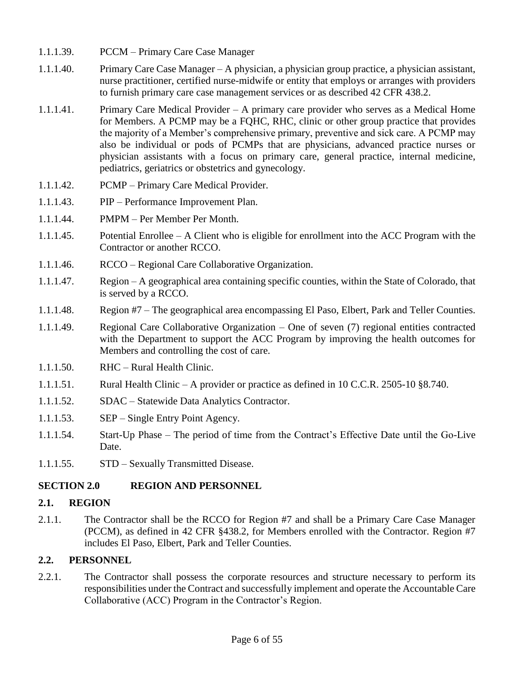- 1.1.1.39. PCCM Primary Care Case Manager
- 1.1.1.40. Primary Care Case Manager A physician, a physician group practice, a physician assistant, nurse practitioner, certified nurse-midwife or entity that employs or arranges with providers to furnish primary care case management services or as described 42 CFR 438.2.
- 1.1.1.41. Primary Care Medical Provider A primary care provider who serves as a Medical Home for Members. A PCMP may be a FQHC, RHC, clinic or other group practice that provides the majority of a Member's comprehensive primary, preventive and sick care. A PCMP may also be individual or pods of PCMPs that are physicians, advanced practice nurses or physician assistants with a focus on primary care, general practice, internal medicine, pediatrics, geriatrics or obstetrics and gynecology.
- 1.1.1.42. PCMP Primary Care Medical Provider.
- 1.1.1.43. PIP Performance Improvement Plan.
- 1.1.1.44. PMPM Per Member Per Month.
- 1.1.1.45. Potential Enrollee A Client who is eligible for enrollment into the ACC Program with the Contractor or another RCCO.
- 1.1.1.46. RCCO Regional Care Collaborative Organization.
- 1.1.1.47. Region A geographical area containing specific counties, within the State of Colorado, that is served by a RCCO.
- 1.1.1.48. Region #7 The geographical area encompassing El Paso, Elbert, Park and Teller Counties.
- 1.1.1.49. Regional Care Collaborative Organization One of seven (7) regional entities contracted with the Department to support the ACC Program by improving the health outcomes for Members and controlling the cost of care.
- 1.1.1.50. RHC Rural Health Clinic.
- 1.1.1.51. Rural Health Clinic A provider or practice as defined in 10 C.C.R. 2505-10 §8.740.
- 1.1.1.52. SDAC Statewide Data Analytics Contractor.
- 1.1.1.53. SEP Single Entry Point Agency.
- 1.1.1.54. Start-Up Phase The period of time from the Contract's Effective Date until the Go-Live Date.
- 1.1.1.55. STD Sexually Transmitted Disease.

## **SECTION 2.0 REGION AND PERSONNEL**

#### **2.1. REGION**

2.1.1. The Contractor shall be the RCCO for Region #7 and shall be a Primary Care Case Manager (PCCM), as defined in 42 CFR §438.2, for Members enrolled with the Contractor. Region #7 includes El Paso, Elbert, Park and Teller Counties.

## **2.2. PERSONNEL**

2.2.1. The Contractor shall possess the corporate resources and structure necessary to perform its responsibilities under the Contract and successfully implement and operate the Accountable Care Collaborative (ACC) Program in the Contractor's Region.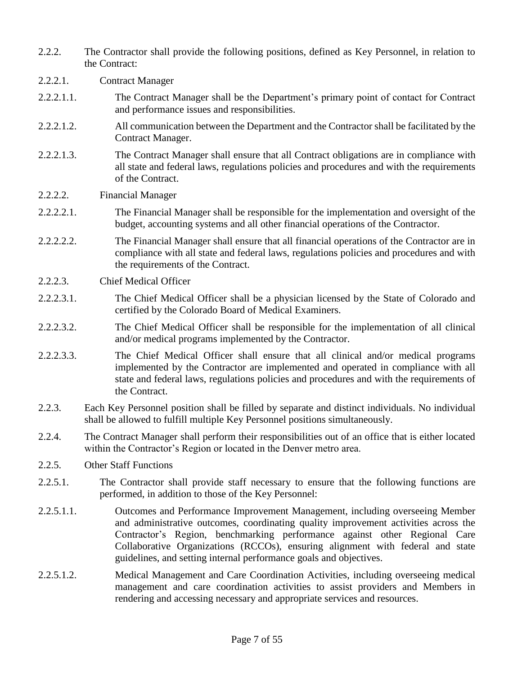- 2.2.2. The Contractor shall provide the following positions, defined as Key Personnel, in relation to the Contract:
- 2.2.2.1. Contract Manager
- 2.2.2.1.1. The Contract Manager shall be the Department's primary point of contact for Contract and performance issues and responsibilities.
- 2.2.2.1.2. All communication between the Department and the Contractor shall be facilitated by the Contract Manager.
- 2.2.2.1.3. The Contract Manager shall ensure that all Contract obligations are in compliance with all state and federal laws, regulations policies and procedures and with the requirements of the Contract.
- 2.2.2.2. Financial Manager
- 2.2.2.2.1. The Financial Manager shall be responsible for the implementation and oversight of the budget, accounting systems and all other financial operations of the Contractor.
- 2.2.2.2.2. The Financial Manager shall ensure that all financial operations of the Contractor are in compliance with all state and federal laws, regulations policies and procedures and with the requirements of the Contract.
- 2.2.2.3. Chief Medical Officer
- 2.2.2.3.1. The Chief Medical Officer shall be a physician licensed by the State of Colorado and certified by the Colorado Board of Medical Examiners.
- 2.2.2.3.2. The Chief Medical Officer shall be responsible for the implementation of all clinical and/or medical programs implemented by the Contractor.
- 2.2.2.3.3. The Chief Medical Officer shall ensure that all clinical and/or medical programs implemented by the Contractor are implemented and operated in compliance with all state and federal laws, regulations policies and procedures and with the requirements of the Contract.
- 2.2.3. Each Key Personnel position shall be filled by separate and distinct individuals. No individual shall be allowed to fulfill multiple Key Personnel positions simultaneously.
- 2.2.4. The Contract Manager shall perform their responsibilities out of an office that is either located within the Contractor's Region or located in the Denver metro area.
- 2.2.5. Other Staff Functions
- 2.2.5.1. The Contractor shall provide staff necessary to ensure that the following functions are performed, in addition to those of the Key Personnel:
- 2.2.5.1.1. Outcomes and Performance Improvement Management, including overseeing Member and administrative outcomes, coordinating quality improvement activities across the Contractor's Region, benchmarking performance against other Regional Care Collaborative Organizations (RCCOs), ensuring alignment with federal and state guidelines, and setting internal performance goals and objectives.
- 2.2.5.1.2. Medical Management and Care Coordination Activities, including overseeing medical management and care coordination activities to assist providers and Members in rendering and accessing necessary and appropriate services and resources.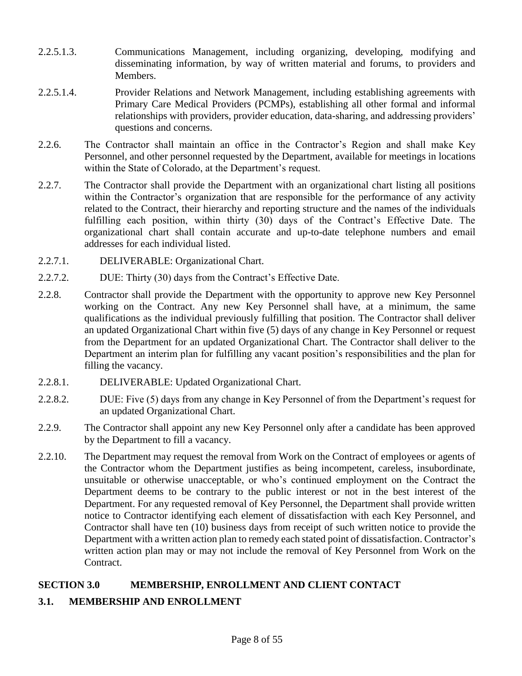- 2.2.5.1.3. Communications Management, including organizing, developing, modifying and disseminating information, by way of written material and forums, to providers and Members.
- 2.2.5.1.4. Provider Relations and Network Management, including establishing agreements with Primary Care Medical Providers (PCMPs), establishing all other formal and informal relationships with providers, provider education, data-sharing, and addressing providers' questions and concerns.
- 2.2.6. The Contractor shall maintain an office in the Contractor's Region and shall make Key Personnel, and other personnel requested by the Department, available for meetings in locations within the State of Colorado, at the Department's request.
- 2.2.7. The Contractor shall provide the Department with an organizational chart listing all positions within the Contractor's organization that are responsible for the performance of any activity related to the Contract, their hierarchy and reporting structure and the names of the individuals fulfilling each position, within thirty (30) days of the Contract's Effective Date. The organizational chart shall contain accurate and up-to-date telephone numbers and email addresses for each individual listed.
- 2.2.7.1. DELIVERABLE: Organizational Chart.
- 2.2.7.2. DUE: Thirty (30) days from the Contract's Effective Date.
- 2.2.8. Contractor shall provide the Department with the opportunity to approve new Key Personnel working on the Contract. Any new Key Personnel shall have, at a minimum, the same qualifications as the individual previously fulfilling that position. The Contractor shall deliver an updated Organizational Chart within five (5) days of any change in Key Personnel or request from the Department for an updated Organizational Chart. The Contractor shall deliver to the Department an interim plan for fulfilling any vacant position's responsibilities and the plan for filling the vacancy.
- 2.2.8.1. DELIVERABLE: Updated Organizational Chart.
- 2.2.8.2. DUE: Five (5) days from any change in Key Personnel of from the Department's request for an updated Organizational Chart.
- 2.2.9. The Contractor shall appoint any new Key Personnel only after a candidate has been approved by the Department to fill a vacancy.
- 2.2.10. The Department may request the removal from Work on the Contract of employees or agents of the Contractor whom the Department justifies as being incompetent, careless, insubordinate, unsuitable or otherwise unacceptable, or who's continued employment on the Contract the Department deems to be contrary to the public interest or not in the best interest of the Department. For any requested removal of Key Personnel, the Department shall provide written notice to Contractor identifying each element of dissatisfaction with each Key Personnel, and Contractor shall have ten (10) business days from receipt of such written notice to provide the Department with a written action plan to remedy each stated point of dissatisfaction. Contractor's written action plan may or may not include the removal of Key Personnel from Work on the Contract.

# **SECTION 3.0 MEMBERSHIP, ENROLLMENT AND CLIENT CONTACT**

# **3.1. MEMBERSHIP AND ENROLLMENT**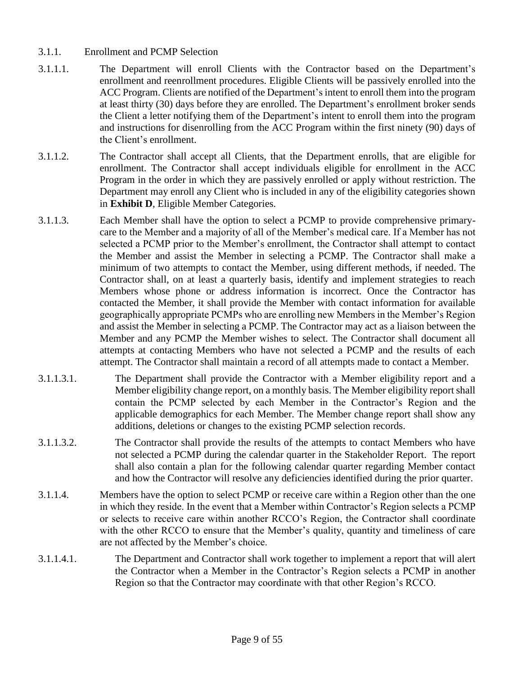- 3.1.1. Enrollment and PCMP Selection
- 3.1.1.1. The Department will enroll Clients with the Contractor based on the Department's enrollment and reenrollment procedures. Eligible Clients will be passively enrolled into the ACC Program. Clients are notified of the Department's intent to enroll them into the program at least thirty (30) days before they are enrolled. The Department's enrollment broker sends the Client a letter notifying them of the Department's intent to enroll them into the program and instructions for disenrolling from the ACC Program within the first ninety (90) days of the Client's enrollment.
- 3.1.1.2. The Contractor shall accept all Clients, that the Department enrolls, that are eligible for enrollment. The Contractor shall accept individuals eligible for enrollment in the ACC Program in the order in which they are passively enrolled or apply without restriction. The Department may enroll any Client who is included in any of the eligibility categories shown in **Exhibit D**, Eligible Member Categories.
- 3.1.1.3. Each Member shall have the option to select a PCMP to provide comprehensive primarycare to the Member and a majority of all of the Member's medical care. If a Member has not selected a PCMP prior to the Member's enrollment, the Contractor shall attempt to contact the Member and assist the Member in selecting a PCMP. The Contractor shall make a minimum of two attempts to contact the Member, using different methods, if needed. The Contractor shall, on at least a quarterly basis, identify and implement strategies to reach Members whose phone or address information is incorrect. Once the Contractor has contacted the Member, it shall provide the Member with contact information for available geographically appropriate PCMPs who are enrolling new Members in the Member's Region and assist the Member in selecting a PCMP. The Contractor may act as a liaison between the Member and any PCMP the Member wishes to select. The Contractor shall document all attempts at contacting Members who have not selected a PCMP and the results of each attempt. The Contractor shall maintain a record of all attempts made to contact a Member.
- 3.1.1.3.1. The Department shall provide the Contractor with a Member eligibility report and a Member eligibility change report, on a monthly basis. The Member eligibility report shall contain the PCMP selected by each Member in the Contractor's Region and the applicable demographics for each Member. The Member change report shall show any additions, deletions or changes to the existing PCMP selection records.
- 3.1.1.3.2. The Contractor shall provide the results of the attempts to contact Members who have not selected a PCMP during the calendar quarter in the Stakeholder Report. The report shall also contain a plan for the following calendar quarter regarding Member contact and how the Contractor will resolve any deficiencies identified during the prior quarter.
- 3.1.1.4. Members have the option to select PCMP or receive care within a Region other than the one in which they reside. In the event that a Member within Contractor's Region selects a PCMP or selects to receive care within another RCCO's Region, the Contractor shall coordinate with the other RCCO to ensure that the Member's quality, quantity and timeliness of care are not affected by the Member's choice.
- 3.1.1.4.1. The Department and Contractor shall work together to implement a report that will alert the Contractor when a Member in the Contractor's Region selects a PCMP in another Region so that the Contractor may coordinate with that other Region's RCCO.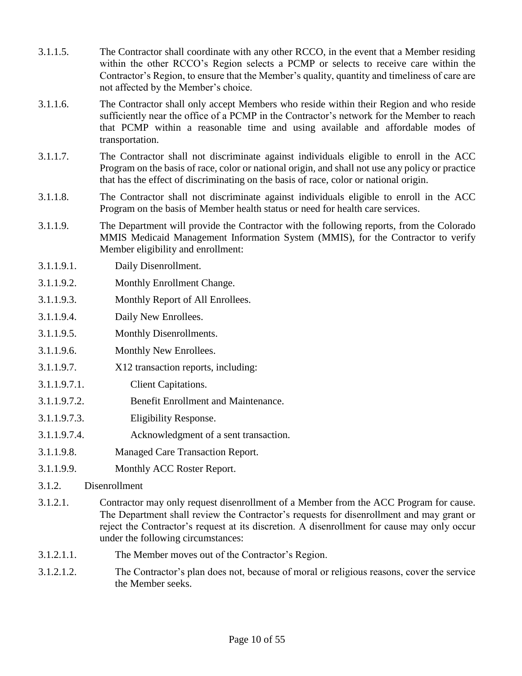- 3.1.1.5. The Contractor shall coordinate with any other RCCO, in the event that a Member residing within the other RCCO's Region selects a PCMP or selects to receive care within the Contractor's Region, to ensure that the Member's quality, quantity and timeliness of care are not affected by the Member's choice. 3.1.1.6. The Contractor shall only accept Members who reside within their Region and who reside sufficiently near the office of a PCMP in the Contractor's network for the Member to reach that PCMP within a reasonable time and using available and affordable modes of transportation. 3.1.1.7. The Contractor shall not discriminate against individuals eligible to enroll in the ACC Program on the basis of race, color or national origin, and shall not use any policy or practice that has the effect of discriminating on the basis of race, color or national origin. 3.1.1.8. The Contractor shall not discriminate against individuals eligible to enroll in the ACC Program on the basis of Member health status or need for health care services. 3.1.1.9. The Department will provide the Contractor with the following reports, from the Colorado MMIS Medicaid Management Information System (MMIS), for the Contractor to verify Member eligibility and enrollment: 3.1.1.9.1. Daily Disenrollment. 3.1.1.9.2. Monthly Enrollment Change. 3.1.1.9.3. Monthly Report of All Enrollees. 3.1.1.9.4. Daily New Enrollees. 3.1.1.9.5. Monthly Disenrollments. 3.1.1.9.6. Monthly New Enrollees. 3.1.1.9.7. X12 transaction reports, including: 3.1.1.9.7.1. Client Capitations. 3.1.1.9.7.2. Benefit Enrollment and Maintenance. 3.1.1.9.7.3. Eligibility Response. 3.1.1.9.7.4. Acknowledgment of a sent transaction. 3.1.1.9.8. Managed Care Transaction Report. 3.1.1.9.9. Monthly ACC Roster Report. 3.1.2. Disenrollment 3.1.2.1. Contractor may only request disenrollment of a Member from the ACC Program for cause.
- The Department shall review the Contractor's requests for disenrollment and may grant or reject the Contractor's request at its discretion. A disenrollment for cause may only occur under the following circumstances:
- 3.1.2.1.1. The Member moves out of the Contractor's Region.
- 3.1.2.1.2. The Contractor's plan does not, because of moral or religious reasons, cover the service the Member seeks.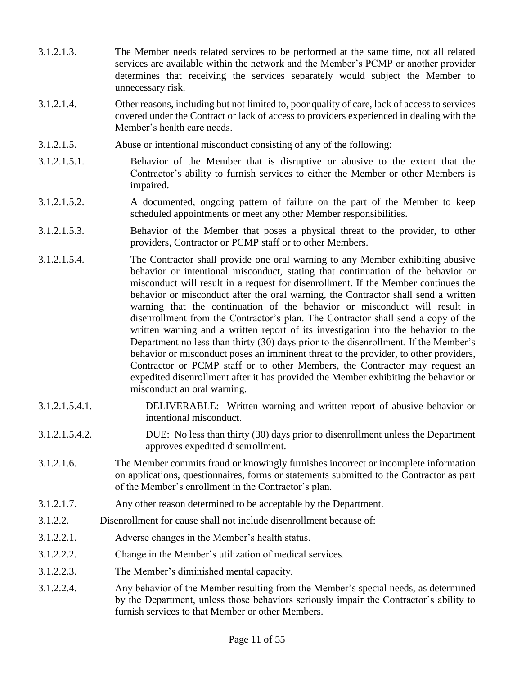- 3.1.2.1.3. The Member needs related services to be performed at the same time, not all related services are available within the network and the Member's PCMP or another provider determines that receiving the services separately would subject the Member to unnecessary risk.
- 3.1.2.1.4. Other reasons, including but not limited to, poor quality of care, lack of access to services covered under the Contract or lack of access to providers experienced in dealing with the Member's health care needs.
- 3.1.2.1.5. Abuse or intentional misconduct consisting of any of the following:
- 3.1.2.1.5.1. Behavior of the Member that is disruptive or abusive to the extent that the Contractor's ability to furnish services to either the Member or other Members is impaired.
- 3.1.2.1.5.2. A documented, ongoing pattern of failure on the part of the Member to keep scheduled appointments or meet any other Member responsibilities.
- 3.1.2.1.5.3. Behavior of the Member that poses a physical threat to the provider, to other providers, Contractor or PCMP staff or to other Members.
- 3.1.2.1.5.4. The Contractor shall provide one oral warning to any Member exhibiting abusive behavior or intentional misconduct, stating that continuation of the behavior or misconduct will result in a request for disenrollment. If the Member continues the behavior or misconduct after the oral warning, the Contractor shall send a written warning that the continuation of the behavior or misconduct will result in disenrollment from the Contractor's plan. The Contractor shall send a copy of the written warning and a written report of its investigation into the behavior to the Department no less than thirty (30) days prior to the disenrollment. If the Member's behavior or misconduct poses an imminent threat to the provider, to other providers, Contractor or PCMP staff or to other Members, the Contractor may request an expedited disenrollment after it has provided the Member exhibiting the behavior or misconduct an oral warning.
- 3.1.2.1.5.4.1. DELIVERABLE: Written warning and written report of abusive behavior or intentional misconduct.
- 3.1.2.1.5.4.2. DUE: No less than thirty (30) days prior to disenrollment unless the Department approves expedited disenrollment.
- 3.1.2.1.6. The Member commits fraud or knowingly furnishes incorrect or incomplete information on applications, questionnaires, forms or statements submitted to the Contractor as part of the Member's enrollment in the Contractor's plan.
- 3.1.2.1.7. Any other reason determined to be acceptable by the Department.
- 3.1.2.2. Disenrollment for cause shall not include disenrollment because of:
- 3.1.2.2.1. Adverse changes in the Member's health status.
- 3.1.2.2.2. Change in the Member's utilization of medical services.
- 3.1.2.2.3. The Member's diminished mental capacity.
- 3.1.2.2.4. Any behavior of the Member resulting from the Member's special needs, as determined by the Department, unless those behaviors seriously impair the Contractor's ability to furnish services to that Member or other Members.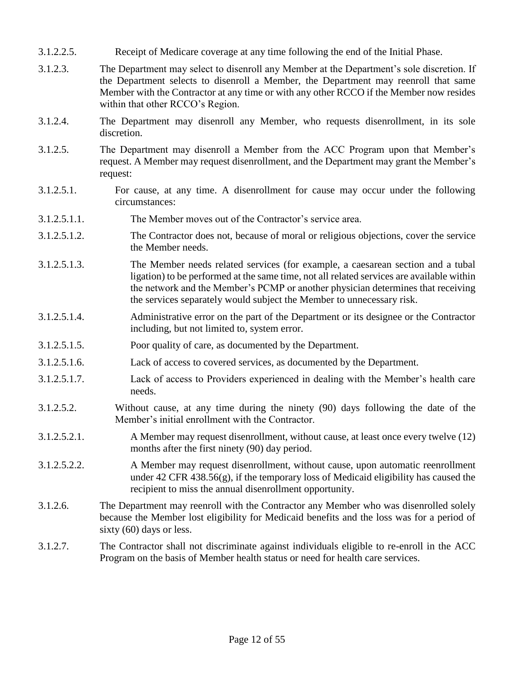- 3.1.2.2.5. Receipt of Medicare coverage at any time following the end of the Initial Phase.
- 3.1.2.3. The Department may select to disenroll any Member at the Department's sole discretion. If the Department selects to disenroll a Member, the Department may reenroll that same Member with the Contractor at any time or with any other RCCO if the Member now resides within that other RCCO's Region.
- 3.1.2.4. The Department may disenroll any Member, who requests disenrollment, in its sole discretion.
- 3.1.2.5. The Department may disenroll a Member from the ACC Program upon that Member's request. A Member may request disenrollment, and the Department may grant the Member's request:
- 3.1.2.5.1. For cause, at any time. A disenrollment for cause may occur under the following circumstances:
- 3.1.2.5.1.1. The Member moves out of the Contractor's service area.
- 3.1.2.5.1.2. The Contractor does not, because of moral or religious objections, cover the service the Member needs.
- 3.1.2.5.1.3. The Member needs related services (for example, a caesarean section and a tubal ligation) to be performed at the same time, not all related services are available within the network and the Member's PCMP or another physician determines that receiving the services separately would subject the Member to unnecessary risk.
- 3.1.2.5.1.4. Administrative error on the part of the Department or its designee or the Contractor including, but not limited to, system error.
- 3.1.2.5.1.5. Poor quality of care, as documented by the Department.
- 3.1.2.5.1.6. Lack of access to covered services, as documented by the Department.
- 3.1.2.5.1.7. Lack of access to Providers experienced in dealing with the Member's health care needs.
- 3.1.2.5.2. Without cause, at any time during the ninety (90) days following the date of the Member's initial enrollment with the Contractor.
- 3.1.2.5.2.1. A Member may request disenrollment, without cause, at least once every twelve (12) months after the first ninety (90) day period.
- 3.1.2.5.2.2. A Member may request disenrollment, without cause, upon automatic reenrollment under 42 CFR 438.56(g), if the temporary loss of Medicaid eligibility has caused the recipient to miss the annual disenrollment opportunity.
- 3.1.2.6. The Department may reenroll with the Contractor any Member who was disenrolled solely because the Member lost eligibility for Medicaid benefits and the loss was for a period of sixty (60) days or less.
- 3.1.2.7. The Contractor shall not discriminate against individuals eligible to re-enroll in the ACC Program on the basis of Member health status or need for health care services.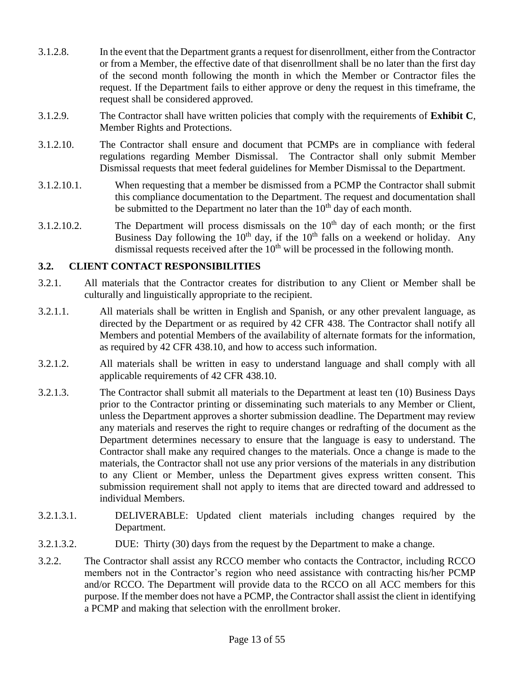- 3.1.2.8. In the event that the Department grants a request for disenrollment, either from the Contractor or from a Member, the effective date of that disenrollment shall be no later than the first day of the second month following the month in which the Member or Contractor files the request. If the Department fails to either approve or deny the request in this timeframe, the request shall be considered approved.
- 3.1.2.9. The Contractor shall have written policies that comply with the requirements of **Exhibit C**, Member Rights and Protections.
- 3.1.2.10. The Contractor shall ensure and document that PCMPs are in compliance with federal regulations regarding Member Dismissal. The Contractor shall only submit Member Dismissal requests that meet federal guidelines for Member Dismissal to the Department.
- 3.1.2.10.1. When requesting that a member be dismissed from a PCMP the Contractor shall submit this compliance documentation to the Department. The request and documentation shall be submitted to the Department no later than the  $10<sup>th</sup>$  day of each month.
- 3.1.2.10.2. The Department will process dismissals on the  $10<sup>th</sup>$  day of each month; or the first Business Day following the  $10<sup>th</sup>$  day, if the  $10<sup>th</sup>$  falls on a weekend or holiday. Any dismissal requests received after the  $10<sup>th</sup>$  will be processed in the following month.

#### **3.2. CLIENT CONTACT RESPONSIBILITIES**

- 3.2.1. All materials that the Contractor creates for distribution to any Client or Member shall be culturally and linguistically appropriate to the recipient.
- 3.2.1.1. All materials shall be written in English and Spanish, or any other prevalent language, as directed by the Department or as required by 42 CFR 438. The Contractor shall notify all Members and potential Members of the availability of alternate formats for the information, as required by 42 CFR 438.10, and how to access such information.
- 3.2.1.2. All materials shall be written in easy to understand language and shall comply with all applicable requirements of 42 CFR 438.10.
- 3.2.1.3. The Contractor shall submit all materials to the Department at least ten (10) Business Days prior to the Contractor printing or disseminating such materials to any Member or Client, unless the Department approves a shorter submission deadline. The Department may review any materials and reserves the right to require changes or redrafting of the document as the Department determines necessary to ensure that the language is easy to understand. The Contractor shall make any required changes to the materials. Once a change is made to the materials, the Contractor shall not use any prior versions of the materials in any distribution to any Client or Member, unless the Department gives express written consent. This submission requirement shall not apply to items that are directed toward and addressed to individual Members.
- 3.2.1.3.1. DELIVERABLE: Updated client materials including changes required by the Department.
- 3.2.1.3.2. DUE: Thirty (30) days from the request by the Department to make a change.
- 3.2.2. The Contractor shall assist any RCCO member who contacts the Contractor, including RCCO members not in the Contractor's region who need assistance with contracting his/her PCMP and/or RCCO. The Department will provide data to the RCCO on all ACC members for this purpose. If the member does not have a PCMP, the Contractor shall assist the client in identifying a PCMP and making that selection with the enrollment broker.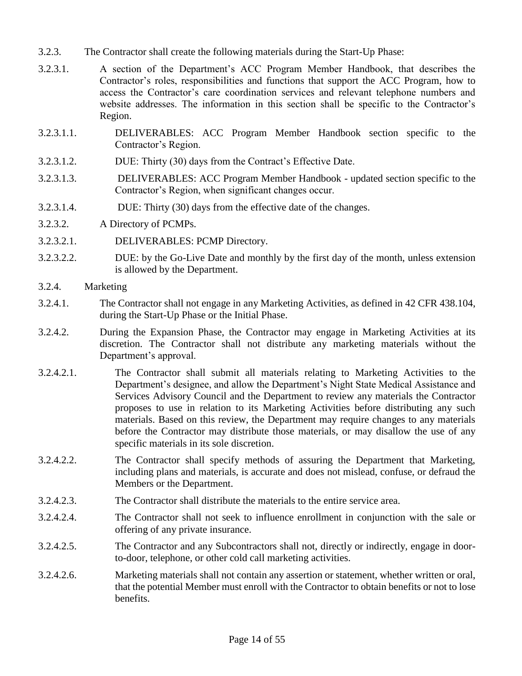- 3.2.3. The Contractor shall create the following materials during the Start-Up Phase:
- 3.2.3.1. A section of the Department's ACC Program Member Handbook, that describes the Contractor's roles, responsibilities and functions that support the ACC Program, how to access the Contractor's care coordination services and relevant telephone numbers and website addresses. The information in this section shall be specific to the Contractor's Region.
- 3.2.3.1.1. DELIVERABLES: ACC Program Member Handbook section specific to the Contractor's Region.
- 3.2.3.1.2. DUE: Thirty (30) days from the Contract's Effective Date.
- 3.2.3.1.3. DELIVERABLES: ACC Program Member Handbook updated section specific to the Contractor's Region, when significant changes occur.
- 3.2.3.1.4. DUE: Thirty (30) days from the effective date of the changes.
- 3.2.3.2. A Directory of PCMPs.
- 3.2.3.2.1. DELIVERABLES: PCMP Directory.
- 3.2.3.2.2. DUE: by the Go-Live Date and monthly by the first day of the month, unless extension is allowed by the Department.
- 3.2.4. Marketing
- 3.2.4.1. The Contractor shall not engage in any Marketing Activities, as defined in 42 CFR 438.104, during the Start-Up Phase or the Initial Phase.
- 3.2.4.2. During the Expansion Phase, the Contractor may engage in Marketing Activities at its discretion. The Contractor shall not distribute any marketing materials without the Department's approval.
- 3.2.4.2.1. The Contractor shall submit all materials relating to Marketing Activities to the Department's designee, and allow the Department's Night State Medical Assistance and Services Advisory Council and the Department to review any materials the Contractor proposes to use in relation to its Marketing Activities before distributing any such materials. Based on this review, the Department may require changes to any materials before the Contractor may distribute those materials, or may disallow the use of any specific materials in its sole discretion.
- 3.2.4.2.2. The Contractor shall specify methods of assuring the Department that Marketing, including plans and materials, is accurate and does not mislead, confuse, or defraud the Members or the Department.
- 3.2.4.2.3. The Contractor shall distribute the materials to the entire service area.
- 3.2.4.2.4. The Contractor shall not seek to influence enrollment in conjunction with the sale or offering of any private insurance.
- 3.2.4.2.5. The Contractor and any Subcontractors shall not, directly or indirectly, engage in doorto-door, telephone, or other cold call marketing activities.
- 3.2.4.2.6. Marketing materials shall not contain any assertion or statement, whether written or oral, that the potential Member must enroll with the Contractor to obtain benefits or not to lose benefits.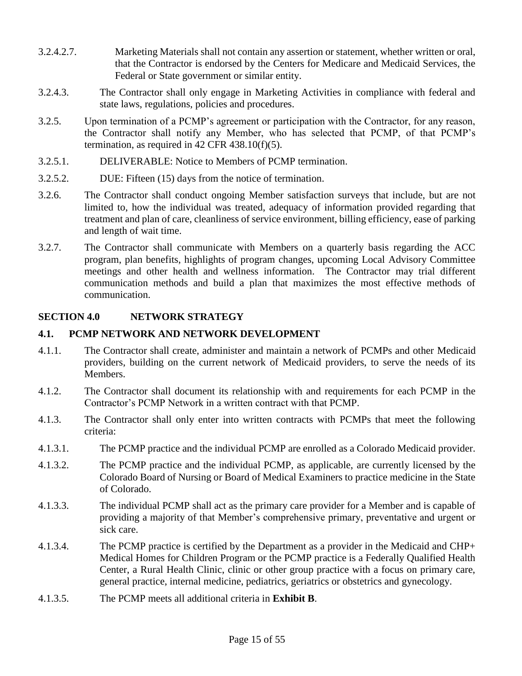- 3.2.4.2.7. Marketing Materials shall not contain any assertion or statement, whether written or oral, that the Contractor is endorsed by the Centers for Medicare and Medicaid Services, the Federal or State government or similar entity.
- 3.2.4.3. The Contractor shall only engage in Marketing Activities in compliance with federal and state laws, regulations, policies and procedures.
- 3.2.5. Upon termination of a PCMP's agreement or participation with the Contractor, for any reason, the Contractor shall notify any Member, who has selected that PCMP, of that PCMP's termination, as required in 42 CFR 438.10(f)(5).
- 3.2.5.1. DELIVERABLE: Notice to Members of PCMP termination.
- 3.2.5.2. DUE: Fifteen (15) days from the notice of termination.
- 3.2.6. The Contractor shall conduct ongoing Member satisfaction surveys that include, but are not limited to, how the individual was treated, adequacy of information provided regarding that treatment and plan of care, cleanliness of service environment, billing efficiency, ease of parking and length of wait time.
- 3.2.7. The Contractor shall communicate with Members on a quarterly basis regarding the ACC program, plan benefits, highlights of program changes, upcoming Local Advisory Committee meetings and other health and wellness information. The Contractor may trial different communication methods and build a plan that maximizes the most effective methods of communication.

## **SECTION 4.0 NETWORK STRATEGY**

#### **4.1. PCMP NETWORK AND NETWORK DEVELOPMENT**

- 4.1.1. The Contractor shall create, administer and maintain a network of PCMPs and other Medicaid providers, building on the current network of Medicaid providers, to serve the needs of its Members.
- 4.1.2. The Contractor shall document its relationship with and requirements for each PCMP in the Contractor's PCMP Network in a written contract with that PCMP.
- 4.1.3. The Contractor shall only enter into written contracts with PCMPs that meet the following criteria:
- 4.1.3.1. The PCMP practice and the individual PCMP are enrolled as a Colorado Medicaid provider.
- 4.1.3.2. The PCMP practice and the individual PCMP, as applicable, are currently licensed by the Colorado Board of Nursing or Board of Medical Examiners to practice medicine in the State of Colorado.
- 4.1.3.3. The individual PCMP shall act as the primary care provider for a Member and is capable of providing a majority of that Member's comprehensive primary, preventative and urgent or sick care.
- 4.1.3.4. The PCMP practice is certified by the Department as a provider in the Medicaid and CHP+ Medical Homes for Children Program or the PCMP practice is a Federally Qualified Health Center, a Rural Health Clinic, clinic or other group practice with a focus on primary care, general practice, internal medicine, pediatrics, geriatrics or obstetrics and gynecology.
- 4.1.3.5. The PCMP meets all additional criteria in **Exhibit B**.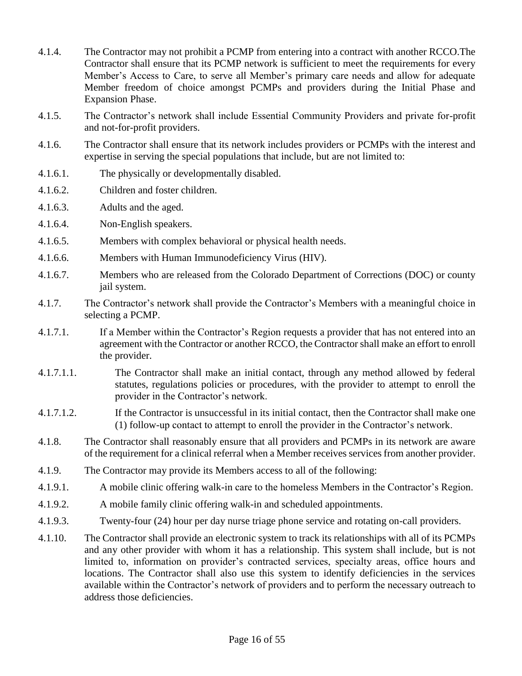- 4.1.4. The Contractor may not prohibit a PCMP from entering into a contract with another RCCO.The Contractor shall ensure that its PCMP network is sufficient to meet the requirements for every Member's Access to Care, to serve all Member's primary care needs and allow for adequate Member freedom of choice amongst PCMPs and providers during the Initial Phase and Expansion Phase.
- 4.1.5. The Contractor's network shall include Essential Community Providers and private for-profit and not-for-profit providers.
- 4.1.6. The Contractor shall ensure that its network includes providers or PCMPs with the interest and expertise in serving the special populations that include, but are not limited to:
- 4.1.6.1. The physically or developmentally disabled.
- 4.1.6.2. Children and foster children.
- 4.1.6.3. Adults and the aged.
- 4.1.6.4. Non-English speakers.
- 4.1.6.5. Members with complex behavioral or physical health needs.
- 4.1.6.6. Members with Human Immunodeficiency Virus (HIV).
- 4.1.6.7. Members who are released from the Colorado Department of Corrections (DOC) or county jail system.
- 4.1.7. The Contractor's network shall provide the Contractor's Members with a meaningful choice in selecting a PCMP.
- 4.1.7.1. If a Member within the Contractor's Region requests a provider that has not entered into an agreement with the Contractor or another RCCO, the Contractor shall make an effort to enroll the provider.
- 4.1.7.1.1. The Contractor shall make an initial contact, through any method allowed by federal statutes, regulations policies or procedures, with the provider to attempt to enroll the provider in the Contractor's network.
- 4.1.7.1.2. If the Contractor is unsuccessful in its initial contact, then the Contractor shall make one (1) follow-up contact to attempt to enroll the provider in the Contractor's network.
- 4.1.8. The Contractor shall reasonably ensure that all providers and PCMPs in its network are aware of the requirement for a clinical referral when a Member receives services from another provider.
- 4.1.9. The Contractor may provide its Members access to all of the following:
- 4.1.9.1. A mobile clinic offering walk-in care to the homeless Members in the Contractor's Region.
- 4.1.9.2. A mobile family clinic offering walk-in and scheduled appointments.
- 4.1.9.3. Twenty-four (24) hour per day nurse triage phone service and rotating on-call providers.
- 4.1.10. The Contractor shall provide an electronic system to track its relationships with all of its PCMPs and any other provider with whom it has a relationship. This system shall include, but is not limited to, information on provider's contracted services, specialty areas, office hours and locations. The Contractor shall also use this system to identify deficiencies in the services available within the Contractor's network of providers and to perform the necessary outreach to address those deficiencies.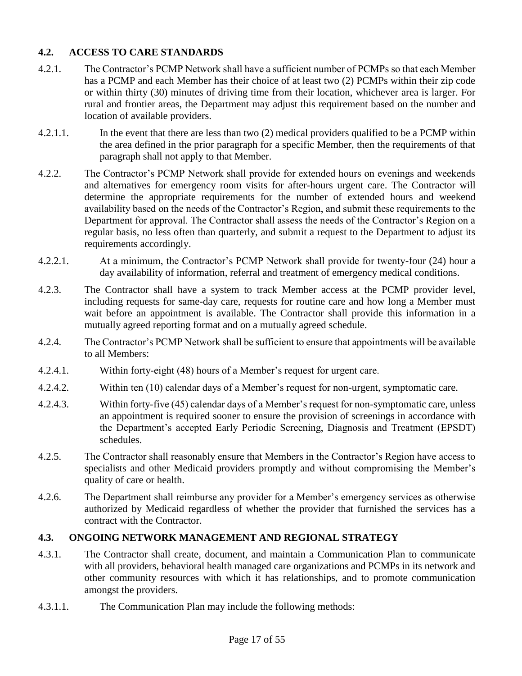## **4.2. ACCESS TO CARE STANDARDS**

- 4.2.1. The Contractor's PCMP Network shall have a sufficient number of PCMPs so that each Member has a PCMP and each Member has their choice of at least two (2) PCMPs within their zip code or within thirty (30) minutes of driving time from their location, whichever area is larger. For rural and frontier areas, the Department may adjust this requirement based on the number and location of available providers.
- 4.2.1.1. In the event that there are less than two (2) medical providers qualified to be a PCMP within the area defined in the prior paragraph for a specific Member, then the requirements of that paragraph shall not apply to that Member.
- 4.2.2. The Contractor's PCMP Network shall provide for extended hours on evenings and weekends and alternatives for emergency room visits for after-hours urgent care. The Contractor will determine the appropriate requirements for the number of extended hours and weekend availability based on the needs of the Contractor's Region, and submit these requirements to the Department for approval. The Contractor shall assess the needs of the Contractor's Region on a regular basis, no less often than quarterly, and submit a request to the Department to adjust its requirements accordingly.
- 4.2.2.1. At a minimum, the Contractor's PCMP Network shall provide for twenty-four (24) hour a day availability of information, referral and treatment of emergency medical conditions.
- 4.2.3. The Contractor shall have a system to track Member access at the PCMP provider level, including requests for same-day care, requests for routine care and how long a Member must wait before an appointment is available. The Contractor shall provide this information in a mutually agreed reporting format and on a mutually agreed schedule.
- 4.2.4. The Contractor's PCMP Network shall be sufficient to ensure that appointments will be available to all Members:
- 4.2.4.1. Within forty-eight (48) hours of a Member's request for urgent care.
- 4.2.4.2. Within ten (10) calendar days of a Member's request for non-urgent, symptomatic care.
- 4.2.4.3. Within forty-five (45) calendar days of a Member's request for non-symptomatic care, unless an appointment is required sooner to ensure the provision of screenings in accordance with the Department's accepted Early Periodic Screening, Diagnosis and Treatment (EPSDT) schedules.
- 4.2.5. The Contractor shall reasonably ensure that Members in the Contractor's Region have access to specialists and other Medicaid providers promptly and without compromising the Member's quality of care or health.
- 4.2.6. The Department shall reimburse any provider for a Member's emergency services as otherwise authorized by Medicaid regardless of whether the provider that furnished the services has a contract with the Contractor.

# **4.3. ONGOING NETWORK MANAGEMENT AND REGIONAL STRATEGY**

- 4.3.1. The Contractor shall create, document, and maintain a Communication Plan to communicate with all providers, behavioral health managed care organizations and PCMPs in its network and other community resources with which it has relationships, and to promote communication amongst the providers.
- 4.3.1.1. The Communication Plan may include the following methods: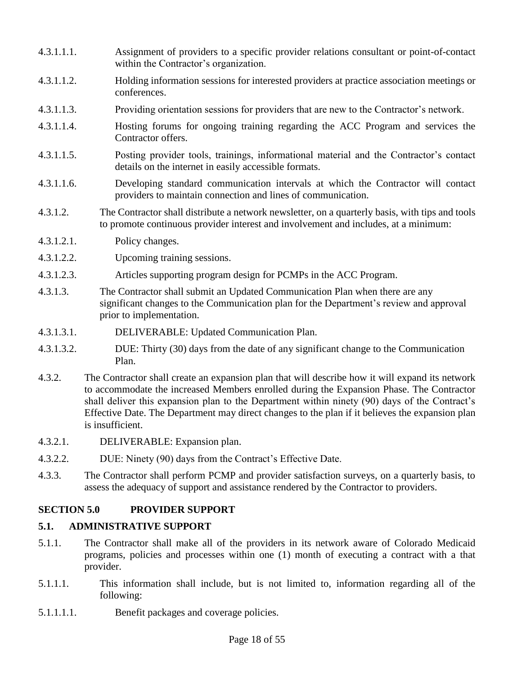- 4.3.1.1.1. Assignment of providers to a specific provider relations consultant or point-of-contact within the Contractor's organization.
- 4.3.1.1.2. Holding information sessions for interested providers at practice association meetings or conferences.
- 4.3.1.1.3. Providing orientation sessions for providers that are new to the Contractor's network.
- 4.3.1.1.4. Hosting forums for ongoing training regarding the ACC Program and services the Contractor offers.
- 4.3.1.1.5. Posting provider tools, trainings, informational material and the Contractor's contact details on the internet in easily accessible formats.
- 4.3.1.1.6. Developing standard communication intervals at which the Contractor will contact providers to maintain connection and lines of communication.
- 4.3.1.2. The Contractor shall distribute a network newsletter, on a quarterly basis, with tips and tools to promote continuous provider interest and involvement and includes, at a minimum:
- 4.3.1.2.1. Policy changes.
- 4.3.1.2.2. Upcoming training sessions.
- 4.3.1.2.3. Articles supporting program design for PCMPs in the ACC Program.
- 4.3.1.3. The Contractor shall submit an Updated Communication Plan when there are any significant changes to the Communication plan for the Department's review and approval prior to implementation.
- 4.3.1.3.1. DELIVERABLE: Updated Communication Plan.
- 4.3.1.3.2. DUE: Thirty (30) days from the date of any significant change to the Communication Plan.
- 4.3.2. The Contractor shall create an expansion plan that will describe how it will expand its network to accommodate the increased Members enrolled during the Expansion Phase. The Contractor shall deliver this expansion plan to the Department within ninety (90) days of the Contract's Effective Date. The Department may direct changes to the plan if it believes the expansion plan is insufficient.
- 4.3.2.1. DELIVERABLE: Expansion plan.
- 4.3.2.2. DUE: Ninety (90) days from the Contract's Effective Date.
- 4.3.3. The Contractor shall perform PCMP and provider satisfaction surveys, on a quarterly basis, to assess the adequacy of support and assistance rendered by the Contractor to providers.

## **SECTION 5.0 PROVIDER SUPPORT**

#### **5.1. ADMINISTRATIVE SUPPORT**

- 5.1.1. The Contractor shall make all of the providers in its network aware of Colorado Medicaid programs, policies and processes within one (1) month of executing a contract with a that provider.
- 5.1.1.1. This information shall include, but is not limited to, information regarding all of the following:
- 5.1.1.1.1. Benefit packages and coverage policies.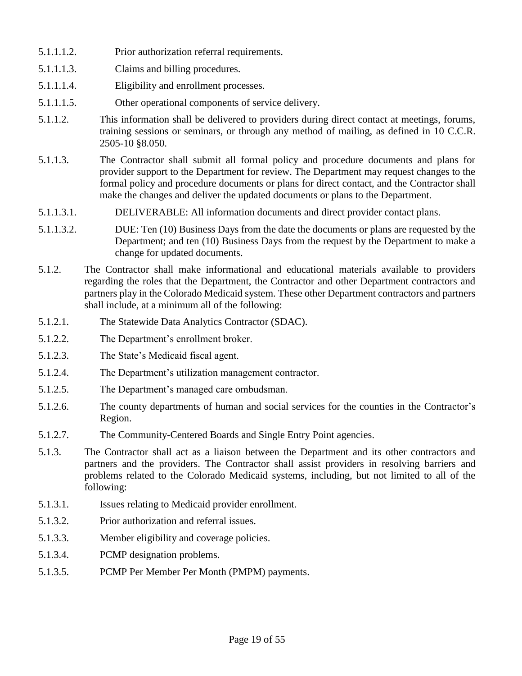- 5.1.1.1.2. Prior authorization referral requirements.
- 5.1.1.1.3. Claims and billing procedures.
- 5.1.1.1.4. Eligibility and enrollment processes.
- 5.1.1.1.5. Other operational components of service delivery.
- 5.1.1.2. This information shall be delivered to providers during direct contact at meetings, forums, training sessions or seminars, or through any method of mailing, as defined in 10 C.C.R. 2505-10 §8.050.
- 5.1.1.3. The Contractor shall submit all formal policy and procedure documents and plans for provider support to the Department for review. The Department may request changes to the formal policy and procedure documents or plans for direct contact, and the Contractor shall make the changes and deliver the updated documents or plans to the Department.
- 5.1.1.3.1. DELIVERABLE: All information documents and direct provider contact plans.
- 5.1.1.3.2. DUE: Ten (10) Business Days from the date the documents or plans are requested by the Department; and ten (10) Business Days from the request by the Department to make a change for updated documents.
- 5.1.2. The Contractor shall make informational and educational materials available to providers regarding the roles that the Department, the Contractor and other Department contractors and partners play in the Colorado Medicaid system. These other Department contractors and partners shall include, at a minimum all of the following:
- 5.1.2.1. The Statewide Data Analytics Contractor (SDAC).
- 5.1.2.2. The Department's enrollment broker.
- 5.1.2.3. The State's Medicaid fiscal agent.
- 5.1.2.4. The Department's utilization management contractor.
- 5.1.2.5. The Department's managed care ombudsman.
- 5.1.2.6. The county departments of human and social services for the counties in the Contractor's Region.
- 5.1.2.7. The Community-Centered Boards and Single Entry Point agencies.
- 5.1.3. The Contractor shall act as a liaison between the Department and its other contractors and partners and the providers. The Contractor shall assist providers in resolving barriers and problems related to the Colorado Medicaid systems, including, but not limited to all of the following:
- 5.1.3.1. Issues relating to Medicaid provider enrollment.
- 5.1.3.2. Prior authorization and referral issues.
- 5.1.3.3. Member eligibility and coverage policies.
- 5.1.3.4. PCMP designation problems.
- 5.1.3.5. PCMP Per Member Per Month (PMPM) payments.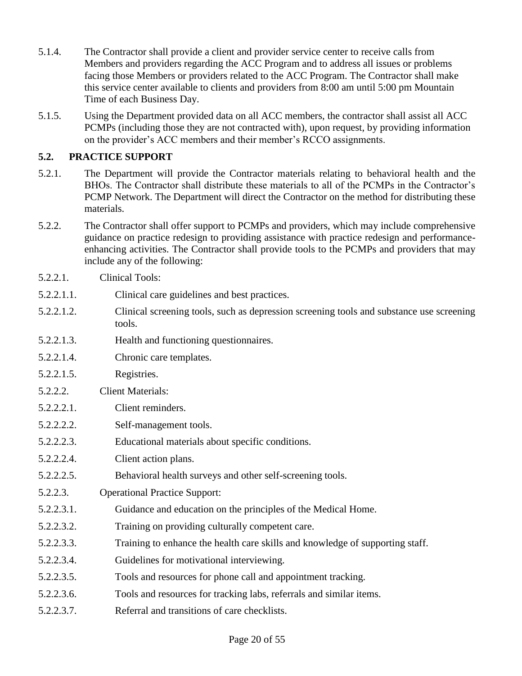- 5.1.4. The Contractor shall provide a client and provider service center to receive calls from Members and providers regarding the ACC Program and to address all issues or problems facing those Members or providers related to the ACC Program. The Contractor shall make this service center available to clients and providers from 8:00 am until 5:00 pm Mountain Time of each Business Day.
- 5.1.5. Using the Department provided data on all ACC members, the contractor shall assist all ACC PCMPs (including those they are not contracted with), upon request, by providing information on the provider's ACC members and their member's RCCO assignments.

# **5.2. PRACTICE SUPPORT**

- 5.2.1. The Department will provide the Contractor materials relating to behavioral health and the BHOs. The Contractor shall distribute these materials to all of the PCMPs in the Contractor's PCMP Network. The Department will direct the Contractor on the method for distributing these materials.
- 5.2.2. The Contractor shall offer support to PCMPs and providers, which may include comprehensive guidance on practice redesign to providing assistance with practice redesign and performanceenhancing activities. The Contractor shall provide tools to the PCMPs and providers that may include any of the following:
- 5.2.2.1. Clinical Tools:
- 5.2.2.1.1. Clinical care guidelines and best practices.
- 5.2.2.1.2. Clinical screening tools, such as depression screening tools and substance use screening tools.
- 5.2.2.1.3. Health and functioning questionnaires.
- 5.2.2.1.4. Chronic care templates.
- 5.2.2.1.5. Registries.
- 5.2.2.2. Client Materials:
- 5.2.2.2.1. Client reminders.
- 5.2.2.2.2. Self-management tools.
- 5.2.2.2.3. Educational materials about specific conditions.
- 5.2.2.2.4. Client action plans.
- 5.2.2.2.5. Behavioral health surveys and other self-screening tools.
- 5.2.2.3. Operational Practice Support:
- 5.2.2.3.1. Guidance and education on the principles of the Medical Home.
- 5.2.2.3.2. Training on providing culturally competent care.
- 5.2.2.3.3. Training to enhance the health care skills and knowledge of supporting staff.
- 5.2.2.3.4. Guidelines for motivational interviewing.
- 5.2.2.3.5. Tools and resources for phone call and appointment tracking.
- 5.2.2.3.6. Tools and resources for tracking labs, referrals and similar items.
- 5.2.2.3.7. Referral and transitions of care checklists.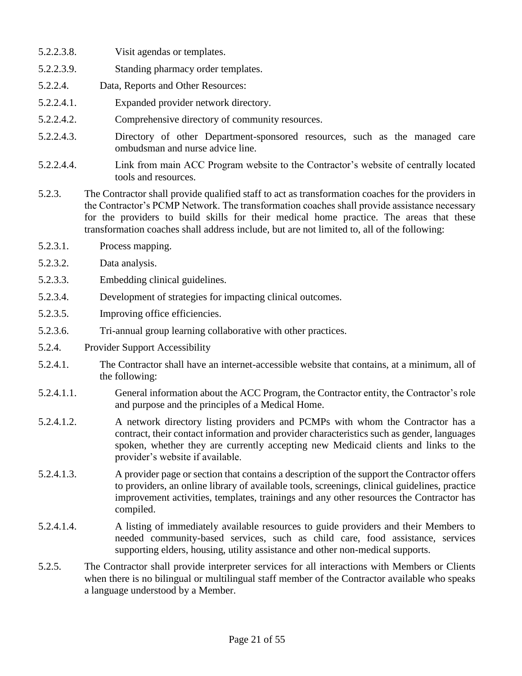- 5.2.2.3.8. Visit agendas or templates.
- 5.2.2.3.9. Standing pharmacy order templates.
- 5.2.2.4. Data, Reports and Other Resources:
- 5.2.2.4.1. Expanded provider network directory.
- 5.2.2.4.2. Comprehensive directory of community resources.
- 5.2.2.4.3. Directory of other Department-sponsored resources, such as the managed care ombudsman and nurse advice line.
- 5.2.2.4.4. Link from main ACC Program website to the Contractor's website of centrally located tools and resources.
- 5.2.3. The Contractor shall provide qualified staff to act as transformation coaches for the providers in the Contractor's PCMP Network. The transformation coaches shall provide assistance necessary for the providers to build skills for their medical home practice. The areas that these transformation coaches shall address include, but are not limited to, all of the following:
- 5.2.3.1. Process mapping.
- 5.2.3.2. Data analysis.
- 5.2.3.3. Embedding clinical guidelines.
- 5.2.3.4. Development of strategies for impacting clinical outcomes.
- 5.2.3.5. Improving office efficiencies.
- 5.2.3.6. Tri-annual group learning collaborative with other practices.
- 5.2.4. Provider Support Accessibility
- 5.2.4.1. The Contractor shall have an internet-accessible website that contains, at a minimum, all of the following:
- 5.2.4.1.1. General information about the ACC Program, the Contractor entity, the Contractor's role and purpose and the principles of a Medical Home.
- 5.2.4.1.2. A network directory listing providers and PCMPs with whom the Contractor has a contract, their contact information and provider characteristics such as gender, languages spoken, whether they are currently accepting new Medicaid clients and links to the provider's website if available.
- 5.2.4.1.3. A provider page or section that contains a description of the support the Contractor offers to providers, an online library of available tools, screenings, clinical guidelines, practice improvement activities, templates, trainings and any other resources the Contractor has compiled.
- 5.2.4.1.4. A listing of immediately available resources to guide providers and their Members to needed community-based services, such as child care, food assistance, services supporting elders, housing, utility assistance and other non-medical supports.
- 5.2.5. The Contractor shall provide interpreter services for all interactions with Members or Clients when there is no bilingual or multilingual staff member of the Contractor available who speaks a language understood by a Member.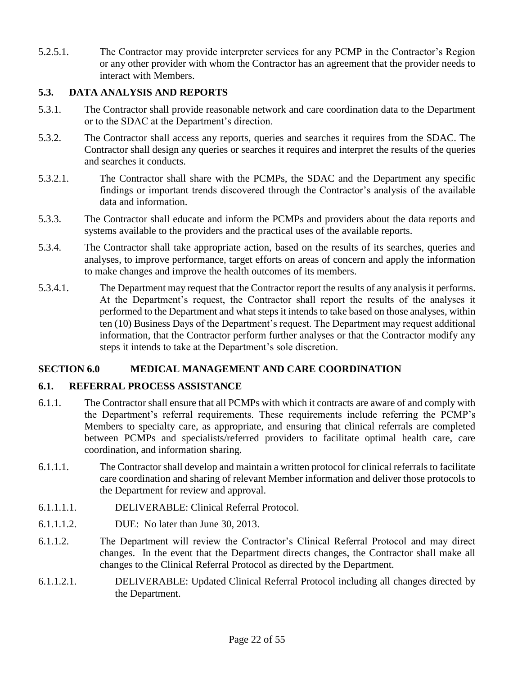5.2.5.1. The Contractor may provide interpreter services for any PCMP in the Contractor's Region or any other provider with whom the Contractor has an agreement that the provider needs to interact with Members.

## **5.3. DATA ANALYSIS AND REPORTS**

- 5.3.1. The Contractor shall provide reasonable network and care coordination data to the Department or to the SDAC at the Department's direction.
- 5.3.2. The Contractor shall access any reports, queries and searches it requires from the SDAC. The Contractor shall design any queries or searches it requires and interpret the results of the queries and searches it conducts.
- 5.3.2.1. The Contractor shall share with the PCMPs, the SDAC and the Department any specific findings or important trends discovered through the Contractor's analysis of the available data and information.
- 5.3.3. The Contractor shall educate and inform the PCMPs and providers about the data reports and systems available to the providers and the practical uses of the available reports.
- 5.3.4. The Contractor shall take appropriate action, based on the results of its searches, queries and analyses, to improve performance, target efforts on areas of concern and apply the information to make changes and improve the health outcomes of its members.
- 5.3.4.1. The Department may request that the Contractor report the results of any analysis it performs. At the Department's request, the Contractor shall report the results of the analyses it performed to the Department and what steps it intends to take based on those analyses, within ten (10) Business Days of the Department's request. The Department may request additional information, that the Contractor perform further analyses or that the Contractor modify any steps it intends to take at the Department's sole discretion.

## **SECTION 6.0 MEDICAL MANAGEMENT AND CARE COORDINATION**

## **6.1. REFERRAL PROCESS ASSISTANCE**

- 6.1.1. The Contractor shall ensure that all PCMPs with which it contracts are aware of and comply with the Department's referral requirements. These requirements include referring the PCMP's Members to specialty care, as appropriate, and ensuring that clinical referrals are completed between PCMPs and specialists/referred providers to facilitate optimal health care, care coordination, and information sharing.
- 6.1.1.1. The Contractor shall develop and maintain a written protocol for clinical referrals to facilitate care coordination and sharing of relevant Member information and deliver those protocols to the Department for review and approval.
- 6.1.1.1.1. DELIVERABLE: Clinical Referral Protocol.
- 6.1.1.1.2. DUE: No later than June 30, 2013.
- 6.1.1.2. The Department will review the Contractor's Clinical Referral Protocol and may direct changes. In the event that the Department directs changes, the Contractor shall make all changes to the Clinical Referral Protocol as directed by the Department.
- 6.1.1.2.1. DELIVERABLE: Updated Clinical Referral Protocol including all changes directed by the Department.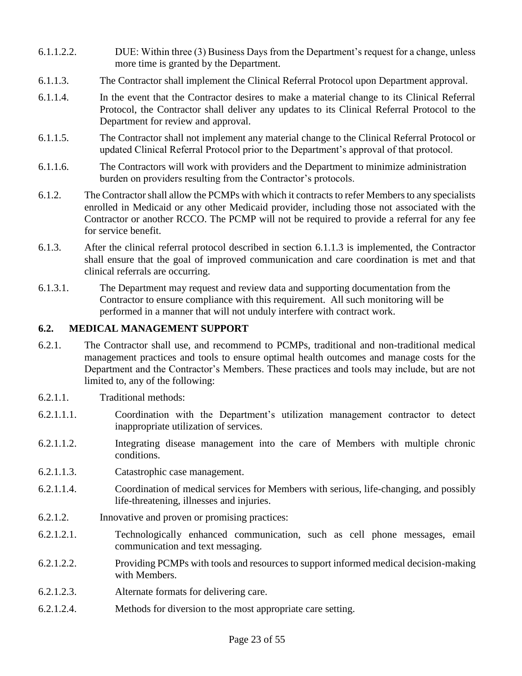- 6.1.1.2.2. DUE: Within three (3) Business Days from the Department's request for a change, unless more time is granted by the Department.
- 6.1.1.3. The Contractor shall implement the Clinical Referral Protocol upon Department approval.
- 6.1.1.4. In the event that the Contractor desires to make a material change to its Clinical Referral Protocol, the Contractor shall deliver any updates to its Clinical Referral Protocol to the Department for review and approval.
- 6.1.1.5. The Contractor shall not implement any material change to the Clinical Referral Protocol or updated Clinical Referral Protocol prior to the Department's approval of that protocol.
- 6.1.1.6. The Contractors will work with providers and the Department to minimize administration burden on providers resulting from the Contractor's protocols.
- 6.1.2. The Contractor shall allow the PCMPs with which it contracts to refer Members to any specialists enrolled in Medicaid or any other Medicaid provider, including those not associated with the Contractor or another RCCO. The PCMP will not be required to provide a referral for any fee for service benefit.
- 6.1.3. After the clinical referral protocol described in section 6.1.1.3 is implemented, the Contractor shall ensure that the goal of improved communication and care coordination is met and that clinical referrals are occurring.
- 6.1.3.1. The Department may request and review data and supporting documentation from the Contractor to ensure compliance with this requirement. All such monitoring will be performed in a manner that will not unduly interfere with contract work.

## **6.2. MEDICAL MANAGEMENT SUPPORT**

- 6.2.1. The Contractor shall use, and recommend to PCMPs, traditional and non-traditional medical management practices and tools to ensure optimal health outcomes and manage costs for the Department and the Contractor's Members. These practices and tools may include, but are not limited to, any of the following:
- 6.2.1.1. Traditional methods:
- 6.2.1.1.1. Coordination with the Department's utilization management contractor to detect inappropriate utilization of services.
- 6.2.1.1.2. Integrating disease management into the care of Members with multiple chronic conditions.
- 6.2.1.1.3. Catastrophic case management.
- 6.2.1.1.4. Coordination of medical services for Members with serious, life-changing, and possibly life-threatening, illnesses and injuries.
- 6.2.1.2. Innovative and proven or promising practices:
- 6.2.1.2.1. Technologically enhanced communication, such as cell phone messages, email communication and text messaging.
- 6.2.1.2.2. Providing PCMPs with tools and resources to support informed medical decision-making with Members.
- 6.2.1.2.3. Alternate formats for delivering care.
- 6.2.1.2.4. Methods for diversion to the most appropriate care setting.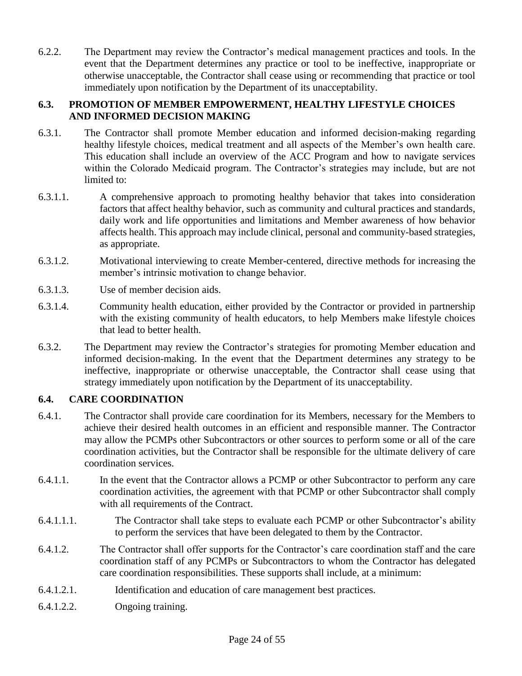6.2.2. The Department may review the Contractor's medical management practices and tools. In the event that the Department determines any practice or tool to be ineffective, inappropriate or otherwise unacceptable, the Contractor shall cease using or recommending that practice or tool immediately upon notification by the Department of its unacceptability.

## **6.3. PROMOTION OF MEMBER EMPOWERMENT, HEALTHY LIFESTYLE CHOICES AND INFORMED DECISION MAKING**

- 6.3.1. The Contractor shall promote Member education and informed decision-making regarding healthy lifestyle choices, medical treatment and all aspects of the Member's own health care. This education shall include an overview of the ACC Program and how to navigate services within the Colorado Medicaid program. The Contractor's strategies may include, but are not limited to:
- 6.3.1.1. A comprehensive approach to promoting healthy behavior that takes into consideration factors that affect healthy behavior, such as community and cultural practices and standards, daily work and life opportunities and limitations and Member awareness of how behavior affects health. This approach may include clinical, personal and community-based strategies, as appropriate.
- 6.3.1.2. Motivational interviewing to create Member-centered, directive methods for increasing the member's intrinsic motivation to change behavior.
- 6.3.1.3. Use of member decision aids.
- 6.3.1.4. Community health education, either provided by the Contractor or provided in partnership with the existing community of health educators, to help Members make lifestyle choices that lead to better health.
- 6.3.2. The Department may review the Contractor's strategies for promoting Member education and informed decision-making. In the event that the Department determines any strategy to be ineffective, inappropriate or otherwise unacceptable, the Contractor shall cease using that strategy immediately upon notification by the Department of its unacceptability.

## **6.4. CARE COORDINATION**

- 6.4.1. The Contractor shall provide care coordination for its Members, necessary for the Members to achieve their desired health outcomes in an efficient and responsible manner. The Contractor may allow the PCMPs other Subcontractors or other sources to perform some or all of the care coordination activities, but the Contractor shall be responsible for the ultimate delivery of care coordination services.
- 6.4.1.1. In the event that the Contractor allows a PCMP or other Subcontractor to perform any care coordination activities, the agreement with that PCMP or other Subcontractor shall comply with all requirements of the Contract.
- 6.4.1.1.1. The Contractor shall take steps to evaluate each PCMP or other Subcontractor's ability to perform the services that have been delegated to them by the Contractor.
- 6.4.1.2. The Contractor shall offer supports for the Contractor's care coordination staff and the care coordination staff of any PCMPs or Subcontractors to whom the Contractor has delegated care coordination responsibilities. These supports shall include, at a minimum:
- 6.4.1.2.1. Identification and education of care management best practices.
- 6.4.1.2.2. Ongoing training.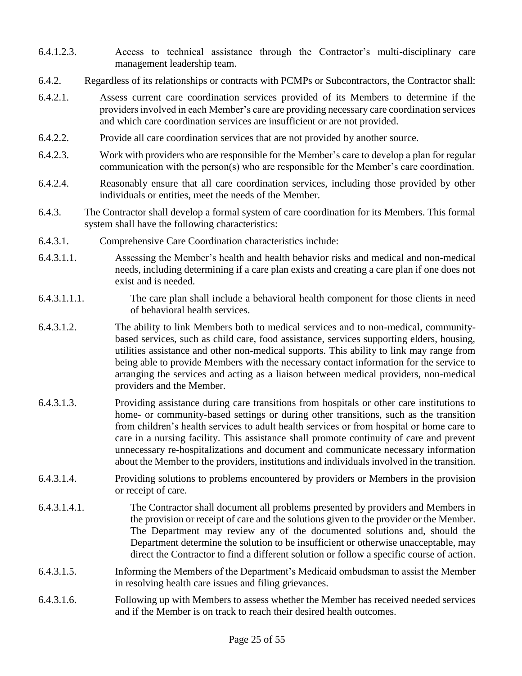- 6.4.1.2.3. Access to technical assistance through the Contractor's multi-disciplinary care management leadership team.
- 6.4.2. Regardless of its relationships or contracts with PCMPs or Subcontractors, the Contractor shall:
- 6.4.2.1. Assess current care coordination services provided of its Members to determine if the providers involved in each Member's care are providing necessary care coordination services and which care coordination services are insufficient or are not provided.
- 6.4.2.2. Provide all care coordination services that are not provided by another source.
- 6.4.2.3. Work with providers who are responsible for the Member's care to develop a plan for regular communication with the person(s) who are responsible for the Member's care coordination.
- 6.4.2.4. Reasonably ensure that all care coordination services, including those provided by other individuals or entities, meet the needs of the Member.
- 6.4.3. The Contractor shall develop a formal system of care coordination for its Members. This formal system shall have the following characteristics:
- 6.4.3.1. Comprehensive Care Coordination characteristics include:
- 6.4.3.1.1. Assessing the Member's health and health behavior risks and medical and non-medical needs, including determining if a care plan exists and creating a care plan if one does not exist and is needed.
- 6.4.3.1.1.1. The care plan shall include a behavioral health component for those clients in need of behavioral health services.
- 6.4.3.1.2. The ability to link Members both to medical services and to non-medical, communitybased services, such as child care, food assistance, services supporting elders, housing, utilities assistance and other non-medical supports. This ability to link may range from being able to provide Members with the necessary contact information for the service to arranging the services and acting as a liaison between medical providers, non-medical providers and the Member.
- 6.4.3.1.3. Providing assistance during care transitions from hospitals or other care institutions to home- or community-based settings or during other transitions, such as the transition from children's health services to adult health services or from hospital or home care to care in a nursing facility. This assistance shall promote continuity of care and prevent unnecessary re-hospitalizations and document and communicate necessary information about the Member to the providers, institutions and individuals involved in the transition.
- 6.4.3.1.4. Providing solutions to problems encountered by providers or Members in the provision or receipt of care.
- 6.4.3.1.4.1. The Contractor shall document all problems presented by providers and Members in the provision or receipt of care and the solutions given to the provider or the Member. The Department may review any of the documented solutions and, should the Department determine the solution to be insufficient or otherwise unacceptable, may direct the Contractor to find a different solution or follow a specific course of action.
- 6.4.3.1.5. Informing the Members of the Department's Medicaid ombudsman to assist the Member in resolving health care issues and filing grievances.
- 6.4.3.1.6. Following up with Members to assess whether the Member has received needed services and if the Member is on track to reach their desired health outcomes.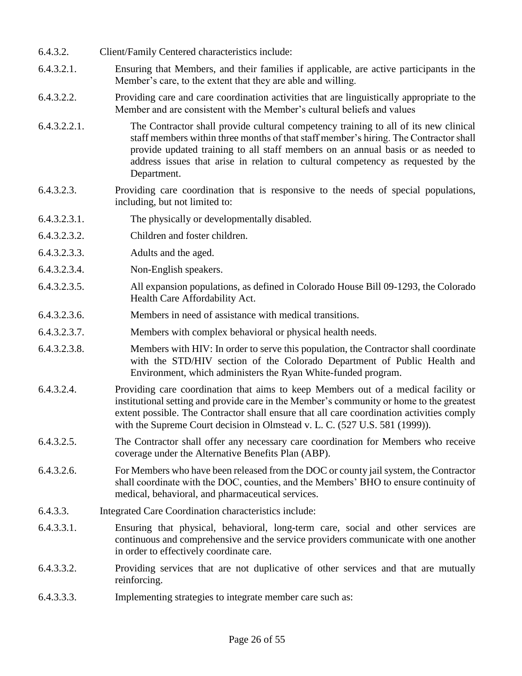- 6.4.3.2. Client/Family Centered characteristics include:
- 6.4.3.2.1. Ensuring that Members, and their families if applicable, are active participants in the Member's care, to the extent that they are able and willing.
- 6.4.3.2.2. Providing care and care coordination activities that are linguistically appropriate to the Member and are consistent with the Member's cultural beliefs and values
- 6.4.3.2.2.1. The Contractor shall provide cultural competency training to all of its new clinical staff members within three months of that staff member's hiring. The Contractor shall provide updated training to all staff members on an annual basis or as needed to address issues that arise in relation to cultural competency as requested by the Department.
- 6.4.3.2.3. Providing care coordination that is responsive to the needs of special populations, including, but not limited to:
- 6.4.3.2.3.1. The physically or developmentally disabled.
- 6.4.3.2.3.2. Children and foster children.
- 6.4.3.2.3.3. Adults and the aged.
- 6.4.3.2.3.4. Non-English speakers.
- 6.4.3.2.3.5. All expansion populations, as defined in Colorado House Bill 09-1293, the Colorado Health Care Affordability Act.
- 6.4.3.2.3.6. Members in need of assistance with medical transitions.
- 6.4.3.2.3.7. Members with complex behavioral or physical health needs.
- 6.4.3.2.3.8. Members with HIV: In order to serve this population, the Contractor shall coordinate with the STD/HIV section of the Colorado Department of Public Health and Environment, which administers the Ryan White-funded program.
- 6.4.3.2.4. Providing care coordination that aims to keep Members out of a medical facility or institutional setting and provide care in the Member's community or home to the greatest extent possible. The Contractor shall ensure that all care coordination activities comply with the Supreme Court decision in Olmstead v. L. C. (527 U.S. 581 (1999)).
- 6.4.3.2.5. The Contractor shall offer any necessary care coordination for Members who receive coverage under the Alternative Benefits Plan (ABP).
- 6.4.3.2.6. For Members who have been released from the DOC or county jail system, the Contractor shall coordinate with the DOC, counties, and the Members' BHO to ensure continuity of medical, behavioral, and pharmaceutical services.
- 6.4.3.3. Integrated Care Coordination characteristics include:
- 6.4.3.3.1. Ensuring that physical, behavioral, long-term care, social and other services are continuous and comprehensive and the service providers communicate with one another in order to effectively coordinate care.
- 6.4.3.3.2. Providing services that are not duplicative of other services and that are mutually reinforcing.
- 6.4.3.3.3. Implementing strategies to integrate member care such as: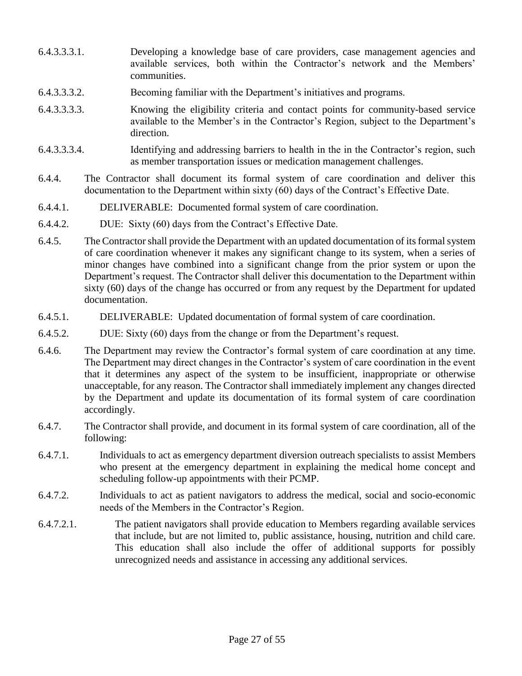- 6.4.3.3.3.1. Developing a knowledge base of care providers, case management agencies and available services, both within the Contractor's network and the Members' communities.
- 6.4.3.3.3.2. Becoming familiar with the Department's initiatives and programs.
- 6.4.3.3.3.3. Knowing the eligibility criteria and contact points for community-based service available to the Member's in the Contractor's Region, subject to the Department's direction.
- 6.4.3.3.3.4. Identifying and addressing barriers to health in the in the Contractor's region, such as member transportation issues or medication management challenges.
- 6.4.4. The Contractor shall document its formal system of care coordination and deliver this documentation to the Department within sixty (60) days of the Contract's Effective Date.
- 6.4.4.1. DELIVERABLE: Documented formal system of care coordination.
- 6.4.4.2. DUE: Sixty (60) days from the Contract's Effective Date.
- 6.4.5. The Contractor shall provide the Department with an updated documentation of its formal system of care coordination whenever it makes any significant change to its system, when a series of minor changes have combined into a significant change from the prior system or upon the Department's request. The Contractor shall deliver this documentation to the Department within sixty (60) days of the change has occurred or from any request by the Department for updated documentation.
- 6.4.5.1. DELIVERABLE: Updated documentation of formal system of care coordination.
- 6.4.5.2. DUE: Sixty (60) days from the change or from the Department's request.
- 6.4.6. The Department may review the Contractor's formal system of care coordination at any time. The Department may direct changes in the Contractor's system of care coordination in the event that it determines any aspect of the system to be insufficient, inappropriate or otherwise unacceptable, for any reason. The Contractor shall immediately implement any changes directed by the Department and update its documentation of its formal system of care coordination accordingly.
- 6.4.7. The Contractor shall provide, and document in its formal system of care coordination, all of the following:
- 6.4.7.1. Individuals to act as emergency department diversion outreach specialists to assist Members who present at the emergency department in explaining the medical home concept and scheduling follow-up appointments with their PCMP.
- 6.4.7.2. Individuals to act as patient navigators to address the medical, social and socio-economic needs of the Members in the Contractor's Region.
- 6.4.7.2.1. The patient navigators shall provide education to Members regarding available services that include, but are not limited to, public assistance, housing, nutrition and child care. This education shall also include the offer of additional supports for possibly unrecognized needs and assistance in accessing any additional services.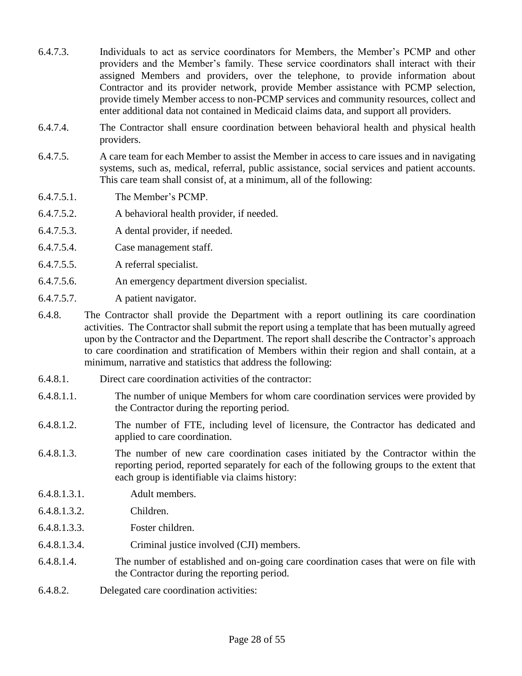- 6.4.7.3. Individuals to act as service coordinators for Members, the Member's PCMP and other providers and the Member's family. These service coordinators shall interact with their assigned Members and providers, over the telephone, to provide information about Contractor and its provider network, provide Member assistance with PCMP selection, provide timely Member access to non-PCMP services and community resources, collect and enter additional data not contained in Medicaid claims data, and support all providers.
- 6.4.7.4. The Contractor shall ensure coordination between behavioral health and physical health providers.
- 6.4.7.5. A care team for each Member to assist the Member in access to care issues and in navigating systems, such as, medical, referral, public assistance, social services and patient accounts. This care team shall consist of, at a minimum, all of the following:
- 6.4.7.5.1. The Member's PCMP.
- 6.4.7.5.2. A behavioral health provider, if needed.
- 6.4.7.5.3. A dental provider, if needed.
- 6.4.7.5.4. Case management staff.
- 6.4.7.5.5. A referral specialist.
- 6.4.7.5.6. An emergency department diversion specialist.
- 6.4.7.5.7. A patient navigator.
- 6.4.8. The Contractor shall provide the Department with a report outlining its care coordination activities. The Contractor shall submit the report using a template that has been mutually agreed upon by the Contractor and the Department. The report shall describe the Contractor's approach to care coordination and stratification of Members within their region and shall contain, at a minimum, narrative and statistics that address the following:
- 6.4.8.1. Direct care coordination activities of the contractor:
- 6.4.8.1.1. The number of unique Members for whom care coordination services were provided by the Contractor during the reporting period.
- 6.4.8.1.2. The number of FTE, including level of licensure, the Contractor has dedicated and applied to care coordination.
- 6.4.8.1.3. The number of new care coordination cases initiated by the Contractor within the reporting period, reported separately for each of the following groups to the extent that each group is identifiable via claims history:
- 6.4.8.1.3.1. Adult members.
- 6.4.8.1.3.2. Children.
- 6.4.8.1.3.3. Foster children.
- 6.4.8.1.3.4. Criminal justice involved (CJI) members.
- 6.4.8.1.4. The number of established and on-going care coordination cases that were on file with the Contractor during the reporting period.
- 6.4.8.2. Delegated care coordination activities: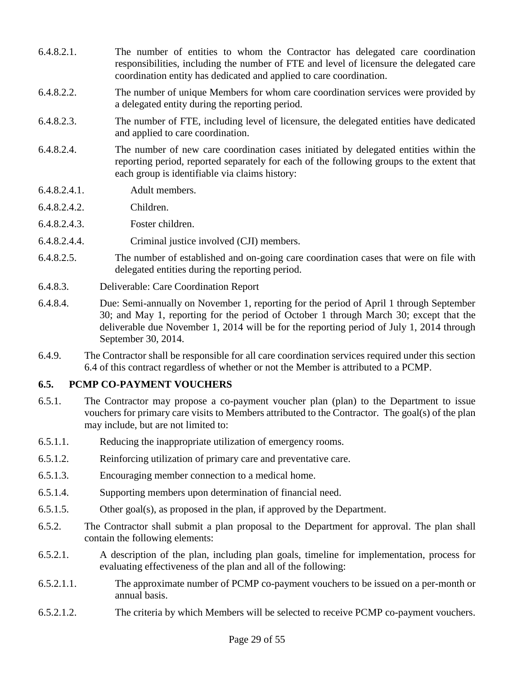- 6.4.8.2.1. The number of entities to whom the Contractor has delegated care coordination responsibilities, including the number of FTE and level of licensure the delegated care coordination entity has dedicated and applied to care coordination.
- 6.4.8.2.2. The number of unique Members for whom care coordination services were provided by a delegated entity during the reporting period.
- 6.4.8.2.3. The number of FTE, including level of licensure, the delegated entities have dedicated and applied to care coordination.
- 6.4.8.2.4. The number of new care coordination cases initiated by delegated entities within the reporting period, reported separately for each of the following groups to the extent that each group is identifiable via claims history:
- 6.4.8.2.4.1. Adult members.
- 6.4.8.2.4.2. Children.
- 6.4.8.2.4.3. Foster children.
- 6.4.8.2.4.4. Criminal justice involved (CJI) members.
- 6.4.8.2.5. The number of established and on-going care coordination cases that were on file with delegated entities during the reporting period.
- 6.4.8.3. Deliverable: Care Coordination Report
- 6.4.8.4. Due: Semi-annually on November 1, reporting for the period of April 1 through September 30; and May 1, reporting for the period of October 1 through March 30; except that the deliverable due November 1, 2014 will be for the reporting period of July 1, 2014 through September 30, 2014.
- 6.4.9. The Contractor shall be responsible for all care coordination services required under this section 6.4 of this contract regardless of whether or not the Member is attributed to a PCMP.

## **6.5. PCMP CO-PAYMENT VOUCHERS**

- 6.5.1. The Contractor may propose a co-payment voucher plan (plan) to the Department to issue vouchers for primary care visits to Members attributed to the Contractor. The goal(s) of the plan may include, but are not limited to:
- 6.5.1.1. Reducing the inappropriate utilization of emergency rooms.
- 6.5.1.2. Reinforcing utilization of primary care and preventative care.
- 6.5.1.3. Encouraging member connection to a medical home.
- 6.5.1.4. Supporting members upon determination of financial need.
- 6.5.1.5. Other goal(s), as proposed in the plan, if approved by the Department.
- 6.5.2. The Contractor shall submit a plan proposal to the Department for approval. The plan shall contain the following elements:
- 6.5.2.1. A description of the plan, including plan goals, timeline for implementation, process for evaluating effectiveness of the plan and all of the following:
- 6.5.2.1.1. The approximate number of PCMP co-payment vouchers to be issued on a per-month or annual basis.
- 6.5.2.1.2. The criteria by which Members will be selected to receive PCMP co-payment vouchers.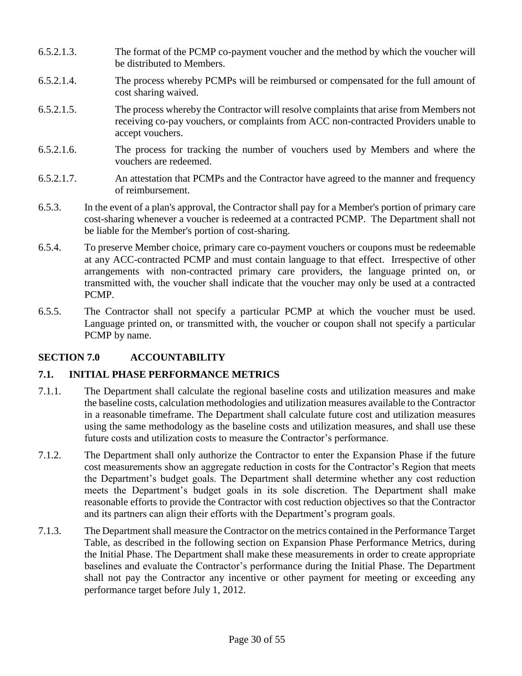- 6.5.2.1.3. The format of the PCMP co-payment voucher and the method by which the voucher will be distributed to Members.
- 6.5.2.1.4. The process whereby PCMPs will be reimbursed or compensated for the full amount of cost sharing waived.
- 6.5.2.1.5. The process whereby the Contractor will resolve complaints that arise from Members not receiving co-pay vouchers, or complaints from ACC non-contracted Providers unable to accept vouchers.
- 6.5.2.1.6. The process for tracking the number of vouchers used by Members and where the vouchers are redeemed.
- 6.5.2.1.7. An attestation that PCMPs and the Contractor have agreed to the manner and frequency of reimbursement.
- 6.5.3. In the event of a plan's approval, the Contractor shall pay for a Member's portion of primary care cost-sharing whenever a voucher is redeemed at a contracted PCMP. The Department shall not be liable for the Member's portion of cost-sharing.
- 6.5.4. To preserve Member choice, primary care co-payment vouchers or coupons must be redeemable at any ACC-contracted PCMP and must contain language to that effect. Irrespective of other arrangements with non-contracted primary care providers, the language printed on, or transmitted with, the voucher shall indicate that the voucher may only be used at a contracted PCMP.
- 6.5.5. The Contractor shall not specify a particular PCMP at which the voucher must be used. Language printed on, or transmitted with, the voucher or coupon shall not specify a particular PCMP by name.

# **SECTION 7.0 ACCOUNTABILITY**

# **7.1. INITIAL PHASE PERFORMANCE METRICS**

- 7.1.1. The Department shall calculate the regional baseline costs and utilization measures and make the baseline costs, calculation methodologies and utilization measures available to the Contractor in a reasonable timeframe. The Department shall calculate future cost and utilization measures using the same methodology as the baseline costs and utilization measures, and shall use these future costs and utilization costs to measure the Contractor's performance.
- 7.1.2. The Department shall only authorize the Contractor to enter the Expansion Phase if the future cost measurements show an aggregate reduction in costs for the Contractor's Region that meets the Department's budget goals. The Department shall determine whether any cost reduction meets the Department's budget goals in its sole discretion. The Department shall make reasonable efforts to provide the Contractor with cost reduction objectives so that the Contractor and its partners can align their efforts with the Department's program goals.
- 7.1.3. The Department shall measure the Contractor on the metrics contained in the Performance Target Table, as described in the following section on Expansion Phase Performance Metrics, during the Initial Phase. The Department shall make these measurements in order to create appropriate baselines and evaluate the Contractor's performance during the Initial Phase. The Department shall not pay the Contractor any incentive or other payment for meeting or exceeding any performance target before July 1, 2012.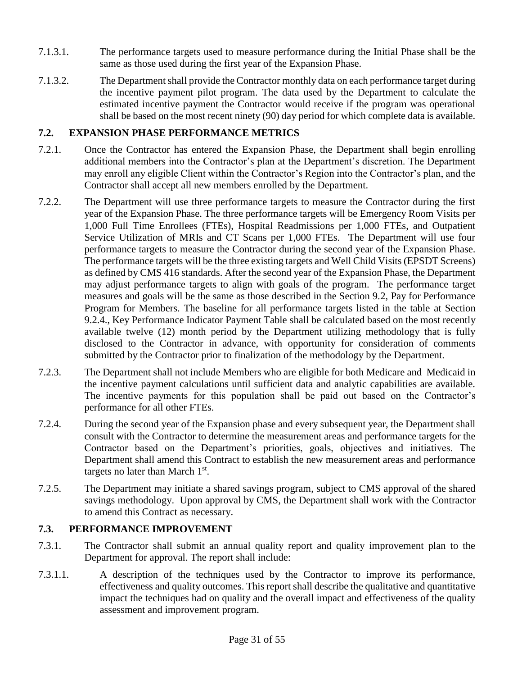- 7.1.3.1. The performance targets used to measure performance during the Initial Phase shall be the same as those used during the first year of the Expansion Phase.
- 7.1.3.2. The Department shall provide the Contractor monthly data on each performance target during the incentive payment pilot program. The data used by the Department to calculate the estimated incentive payment the Contractor would receive if the program was operational shall be based on the most recent ninety (90) day period for which complete data is available.

#### **7.2. EXPANSION PHASE PERFORMANCE METRICS**

- 7.2.1. Once the Contractor has entered the Expansion Phase, the Department shall begin enrolling additional members into the Contractor's plan at the Department's discretion. The Department may enroll any eligible Client within the Contractor's Region into the Contractor's plan, and the Contractor shall accept all new members enrolled by the Department.
- 7.2.2. The Department will use three performance targets to measure the Contractor during the first year of the Expansion Phase. The three performance targets will be Emergency Room Visits per 1,000 Full Time Enrollees (FTEs), Hospital Readmissions per 1,000 FTEs, and Outpatient Service Utilization of MRIs and CT Scans per 1,000 FTEs. The Department will use four performance targets to measure the Contractor during the second year of the Expansion Phase. The performance targets will be the three existing targets and Well Child Visits (EPSDT Screens) as defined by CMS 416 standards. After the second year of the Expansion Phase, the Department may adjust performance targets to align with goals of the program. The performance target measures and goals will be the same as those described in the Section 9.2, Pay for Performance Program for Members. The baseline for all performance targets listed in the table at Section 9.2.4., Key Performance Indicator Payment Table shall be calculated based on the most recently available twelve (12) month period by the Department utilizing methodology that is fully disclosed to the Contractor in advance, with opportunity for consideration of comments submitted by the Contractor prior to finalization of the methodology by the Department.
- 7.2.3. The Department shall not include Members who are eligible for both Medicare and Medicaid in the incentive payment calculations until sufficient data and analytic capabilities are available. The incentive payments for this population shall be paid out based on the Contractor's performance for all other FTEs.
- 7.2.4. During the second year of the Expansion phase and every subsequent year, the Department shall consult with the Contractor to determine the measurement areas and performance targets for the Contractor based on the Department's priorities, goals, objectives and initiatives. The Department shall amend this Contract to establish the new measurement areas and performance targets no later than March  $1<sup>st</sup>$ .
- 7.2.5. The Department may initiate a shared savings program, subject to CMS approval of the shared savings methodology. Upon approval by CMS, the Department shall work with the Contractor to amend this Contract as necessary.

## **7.3. PERFORMANCE IMPROVEMENT**

- 7.3.1. The Contractor shall submit an annual quality report and quality improvement plan to the Department for approval. The report shall include:
- 7.3.1.1. A description of the techniques used by the Contractor to improve its performance, effectiveness and quality outcomes. This report shall describe the qualitative and quantitative impact the techniques had on quality and the overall impact and effectiveness of the quality assessment and improvement program.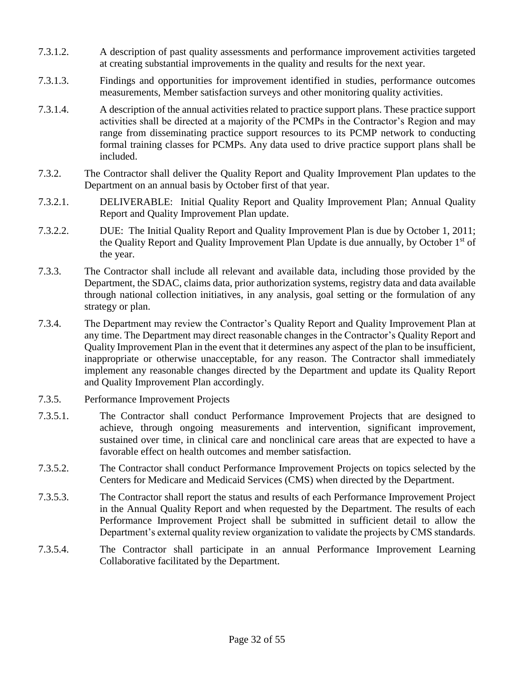- 7.3.1.2. A description of past quality assessments and performance improvement activities targeted at creating substantial improvements in the quality and results for the next year.
- 7.3.1.3. Findings and opportunities for improvement identified in studies, performance outcomes measurements, Member satisfaction surveys and other monitoring quality activities.
- 7.3.1.4. A description of the annual activities related to practice support plans. These practice support activities shall be directed at a majority of the PCMPs in the Contractor's Region and may range from disseminating practice support resources to its PCMP network to conducting formal training classes for PCMPs. Any data used to drive practice support plans shall be included.
- 7.3.2. The Contractor shall deliver the Quality Report and Quality Improvement Plan updates to the Department on an annual basis by October first of that year.
- 7.3.2.1. DELIVERABLE: Initial Quality Report and Quality Improvement Plan; Annual Quality Report and Quality Improvement Plan update.
- 7.3.2.2. DUE: The Initial Quality Report and Quality Improvement Plan is due by October 1, 2011; the Quality Report and Quality Improvement Plan Update is due annually, by October 1<sup>st</sup> of the year.
- 7.3.3. The Contractor shall include all relevant and available data, including those provided by the Department, the SDAC, claims data, prior authorization systems, registry data and data available through national collection initiatives, in any analysis, goal setting or the formulation of any strategy or plan.
- 7.3.4. The Department may review the Contractor's Quality Report and Quality Improvement Plan at any time. The Department may direct reasonable changes in the Contractor's Quality Report and Quality Improvement Plan in the event that it determines any aspect of the plan to be insufficient, inappropriate or otherwise unacceptable, for any reason. The Contractor shall immediately implement any reasonable changes directed by the Department and update its Quality Report and Quality Improvement Plan accordingly.
- 7.3.5. Performance Improvement Projects
- 7.3.5.1. The Contractor shall conduct Performance Improvement Projects that are designed to achieve, through ongoing measurements and intervention, significant improvement, sustained over time, in clinical care and nonclinical care areas that are expected to have a favorable effect on health outcomes and member satisfaction.
- 7.3.5.2. The Contractor shall conduct Performance Improvement Projects on topics selected by the Centers for Medicare and Medicaid Services (CMS) when directed by the Department.
- 7.3.5.3. The Contractor shall report the status and results of each Performance Improvement Project in the Annual Quality Report and when requested by the Department. The results of each Performance Improvement Project shall be submitted in sufficient detail to allow the Department's external quality review organization to validate the projects by CMS standards.
- 7.3.5.4. The Contractor shall participate in an annual Performance Improvement Learning Collaborative facilitated by the Department.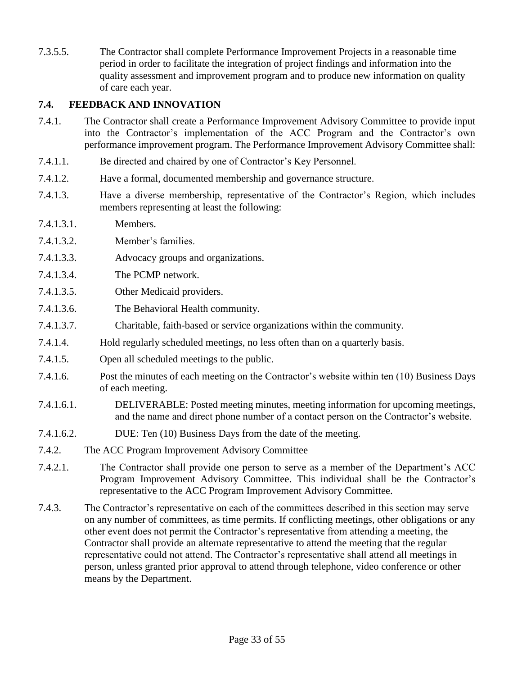7.3.5.5. The Contractor shall complete Performance Improvement Projects in a reasonable time period in order to facilitate the integration of project findings and information into the quality assessment and improvement program and to produce new information on quality of care each year.

## **7.4. FEEDBACK AND INNOVATION**

- 7.4.1. The Contractor shall create a Performance Improvement Advisory Committee to provide input into the Contractor's implementation of the ACC Program and the Contractor's own performance improvement program. The Performance Improvement Advisory Committee shall:
- 7.4.1.1. Be directed and chaired by one of Contractor's Key Personnel.
- 7.4.1.2. Have a formal, documented membership and governance structure.
- 7.4.1.3. Have a diverse membership, representative of the Contractor's Region, which includes members representing at least the following:
- 7.4.1.3.1. Members.
- 7.4.1.3.2. Member's families.
- 7.4.1.3.3. Advocacy groups and organizations.
- 7.4.1.3.4. The PCMP network.
- 7.4.1.3.5. Other Medicaid providers.
- 7.4.1.3.6. The Behavioral Health community.
- 7.4.1.3.7. Charitable, faith-based or service organizations within the community.
- 7.4.1.4. Hold regularly scheduled meetings, no less often than on a quarterly basis.
- 7.4.1.5. Open all scheduled meetings to the public.
- 7.4.1.6. Post the minutes of each meeting on the Contractor's website within ten (10) Business Days of each meeting.
- 7.4.1.6.1. DELIVERABLE: Posted meeting minutes, meeting information for upcoming meetings, and the name and direct phone number of a contact person on the Contractor's website.
- 7.4.1.6.2. DUE: Ten (10) Business Days from the date of the meeting.
- 7.4.2. The ACC Program Improvement Advisory Committee
- 7.4.2.1. The Contractor shall provide one person to serve as a member of the Department's ACC Program Improvement Advisory Committee. This individual shall be the Contractor's representative to the ACC Program Improvement Advisory Committee.
- 7.4.3. The Contractor's representative on each of the committees described in this section may serve on any number of committees, as time permits. If conflicting meetings, other obligations or any other event does not permit the Contractor's representative from attending a meeting, the Contractor shall provide an alternate representative to attend the meeting that the regular representative could not attend. The Contractor's representative shall attend all meetings in person, unless granted prior approval to attend through telephone, video conference or other means by the Department.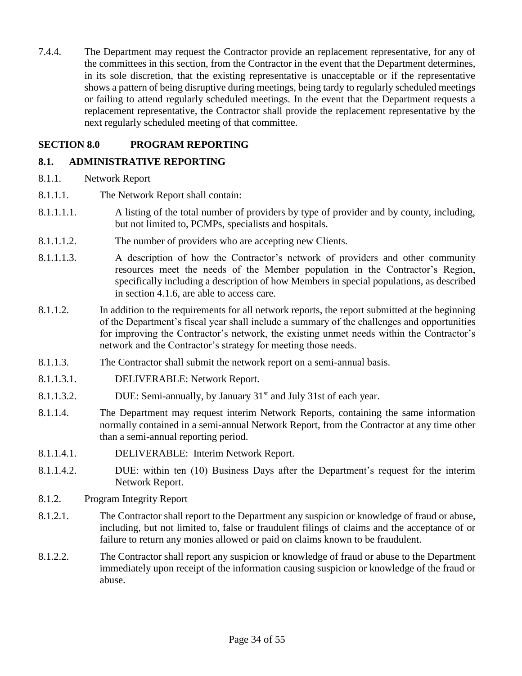7.4.4. The Department may request the Contractor provide an replacement representative, for any of the committees in this section, from the Contractor in the event that the Department determines, in its sole discretion, that the existing representative is unacceptable or if the representative shows a pattern of being disruptive during meetings, being tardy to regularly scheduled meetings or failing to attend regularly scheduled meetings. In the event that the Department requests a replacement representative, the Contractor shall provide the replacement representative by the next regularly scheduled meeting of that committee.

## **SECTION 8.0 PROGRAM REPORTING**

# **8.1. ADMINISTRATIVE REPORTING**

- 8.1.1. Network Report
- 8.1.1.1. The Network Report shall contain:
- 8.1.1.1.1. A listing of the total number of providers by type of provider and by county, including, but not limited to, PCMPs, specialists and hospitals.
- 8.1.1.1.2. The number of providers who are accepting new Clients.
- 8.1.1.1.3. A description of how the Contractor's network of providers and other community resources meet the needs of the Member population in the Contractor's Region, specifically including a description of how Members in special populations, as described in section 4.1.6, are able to access care.
- 8.1.1.2. In addition to the requirements for all network reports, the report submitted at the beginning of the Department's fiscal year shall include a summary of the challenges and opportunities for improving the Contractor's network, the existing unmet needs within the Contractor's network and the Contractor's strategy for meeting those needs.
- 8.1.1.3. The Contractor shall submit the network report on a semi-annual basis.
- 8.1.1.3.1. DELIVERABLE: Network Report.
- 8.1.1.3.2. DUE: Semi-annually, by January 31<sup>st</sup> and July 31st of each year.
- 8.1.1.4. The Department may request interim Network Reports, containing the same information normally contained in a semi-annual Network Report, from the Contractor at any time other than a semi-annual reporting period.
- 8.1.1.4.1. DELIVERABLE: Interim Network Report.
- 8.1.1.4.2. DUE: within ten (10) Business Days after the Department's request for the interim Network Report.
- 8.1.2. Program Integrity Report
- 8.1.2.1. The Contractor shall report to the Department any suspicion or knowledge of fraud or abuse, including, but not limited to, false or fraudulent filings of claims and the acceptance of or failure to return any monies allowed or paid on claims known to be fraudulent.
- 8.1.2.2. The Contractor shall report any suspicion or knowledge of fraud or abuse to the Department immediately upon receipt of the information causing suspicion or knowledge of the fraud or abuse.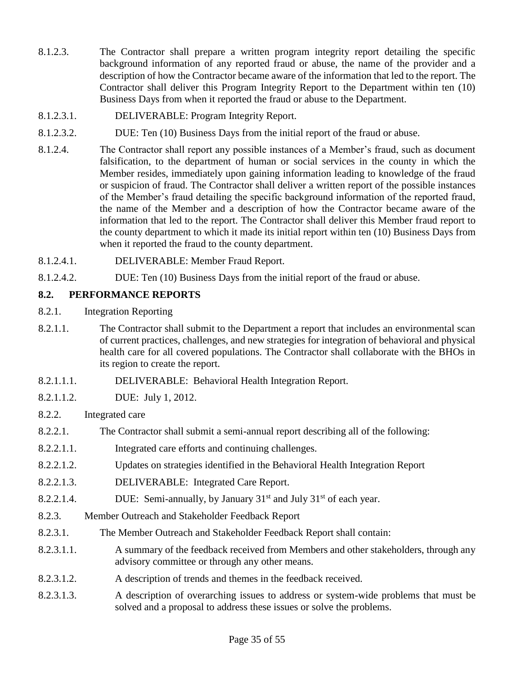- 8.1.2.3. The Contractor shall prepare a written program integrity report detailing the specific background information of any reported fraud or abuse, the name of the provider and a description of how the Contractor became aware of the information that led to the report. The Contractor shall deliver this Program Integrity Report to the Department within ten (10) Business Days from when it reported the fraud or abuse to the Department.
- 8.1.2.3.1. DELIVERABLE: Program Integrity Report.
- 8.1.2.3.2. DUE: Ten (10) Business Days from the initial report of the fraud or abuse.
- 8.1.2.4. The Contractor shall report any possible instances of a Member's fraud, such as document falsification, to the department of human or social services in the county in which the Member resides, immediately upon gaining information leading to knowledge of the fraud or suspicion of fraud. The Contractor shall deliver a written report of the possible instances of the Member's fraud detailing the specific background information of the reported fraud, the name of the Member and a description of how the Contractor became aware of the information that led to the report. The Contractor shall deliver this Member fraud report to the county department to which it made its initial report within ten (10) Business Days from when it reported the fraud to the county department.
- 8.1.2.4.1. DELIVERABLE: Member Fraud Report.
- 8.1.2.4.2. DUE: Ten (10) Business Days from the initial report of the fraud or abuse.

## **8.2. PERFORMANCE REPORTS**

- 8.2.1. Integration Reporting
- 8.2.1.1. The Contractor shall submit to the Department a report that includes an environmental scan of current practices, challenges, and new strategies for integration of behavioral and physical health care for all covered populations. The Contractor shall collaborate with the BHOs in its region to create the report.
- 8.2.1.1.1. DELIVERABLE: Behavioral Health Integration Report.
- 8.2.1.1.2. DUE: July 1, 2012.
- 8.2.2. Integrated care
- 8.2.2.1. The Contractor shall submit a semi-annual report describing all of the following:
- 8.2.2.1.1. Integrated care efforts and continuing challenges.
- 8.2.2.1.2. Updates on strategies identified in the Behavioral Health Integration Report
- 8.2.2.1.3. DELIVERABLE: Integrated Care Report.
- 8.2.2.1.4. DUE: Semi-annually, by January  $31<sup>st</sup>$  and July  $31<sup>st</sup>$  of each year.
- 8.2.3. Member Outreach and Stakeholder Feedback Report
- 8.2.3.1. The Member Outreach and Stakeholder Feedback Report shall contain:
- 8.2.3.1.1. A summary of the feedback received from Members and other stakeholders, through any advisory committee or through any other means.
- 8.2.3.1.2. A description of trends and themes in the feedback received.
- 8.2.3.1.3. A description of overarching issues to address or system-wide problems that must be solved and a proposal to address these issues or solve the problems.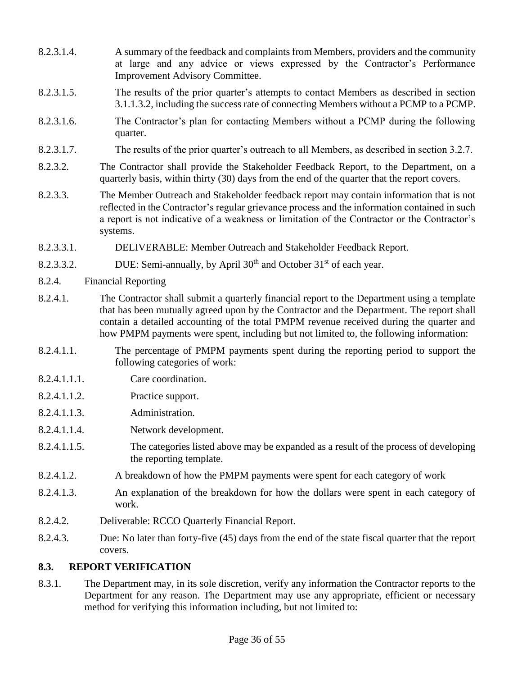- 8.2.3.1.4. A summary of the feedback and complaints from Members, providers and the community at large and any advice or views expressed by the Contractor's Performance Improvement Advisory Committee.
- 8.2.3.1.5. The results of the prior quarter's attempts to contact Members as described in section 3.1.1.3.2, including the success rate of connecting Members without a PCMP to a PCMP.
- 8.2.3.1.6. The Contractor's plan for contacting Members without a PCMP during the following quarter.
- 8.2.3.1.7. The results of the prior quarter's outreach to all Members, as described in section 3.2.7.
- 8.2.3.2. The Contractor shall provide the Stakeholder Feedback Report, to the Department, on a quarterly basis, within thirty (30) days from the end of the quarter that the report covers.
- 8.2.3.3. The Member Outreach and Stakeholder feedback report may contain information that is not reflected in the Contractor's regular grievance process and the information contained in such a report is not indicative of a weakness or limitation of the Contractor or the Contractor's systems.
- 8.2.3.3.1. DELIVERABLE: Member Outreach and Stakeholder Feedback Report.
- 8.2.3.3.2. DUE: Semi-annually, by April  $30<sup>th</sup>$  and October  $31<sup>st</sup>$  of each year.
- 8.2.4. Financial Reporting
- 8.2.4.1. The Contractor shall submit a quarterly financial report to the Department using a template that has been mutually agreed upon by the Contractor and the Department. The report shall contain a detailed accounting of the total PMPM revenue received during the quarter and how PMPM payments were spent, including but not limited to, the following information:
- 8.2.4.1.1. The percentage of PMPM payments spent during the reporting period to support the following categories of work:
- 8.2.4.1.1.1. Care coordination.
- 8.2.4.1.1.2. Practice support.
- 8.2.4.1.1.3. Administration.
- 8.2.4.1.1.4. Network development.
- 8.2.4.1.1.5. The categories listed above may be expanded as a result of the process of developing the reporting template.
- 8.2.4.1.2. A breakdown of how the PMPM payments were spent for each category of work
- 8.2.4.1.3. An explanation of the breakdown for how the dollars were spent in each category of work.
- 8.2.4.2. Deliverable: RCCO Quarterly Financial Report.
- 8.2.4.3. Due: No later than forty-five (45) days from the end of the state fiscal quarter that the report covers.

## **8.3. REPORT VERIFICATION**

8.3.1. The Department may, in its sole discretion, verify any information the Contractor reports to the Department for any reason. The Department may use any appropriate, efficient or necessary method for verifying this information including, but not limited to: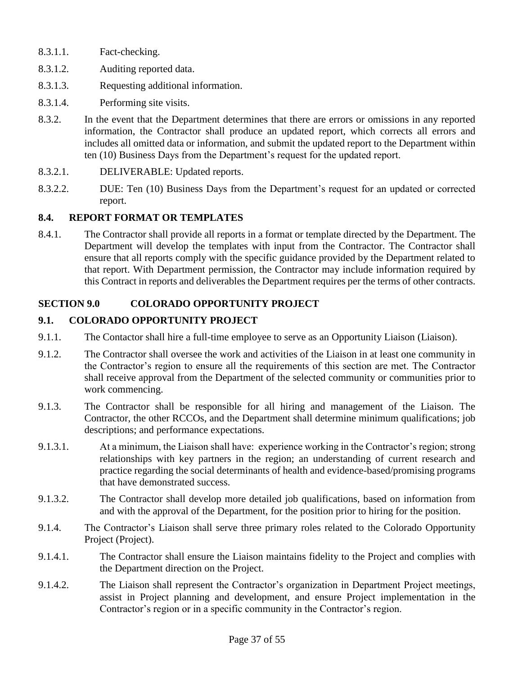- 8.3.1.1. Fact-checking.
- 8.3.1.2. Auditing reported data.
- 8.3.1.3. Requesting additional information.
- 8.3.1.4. Performing site visits.
- 8.3.2. In the event that the Department determines that there are errors or omissions in any reported information, the Contractor shall produce an updated report, which corrects all errors and includes all omitted data or information, and submit the updated report to the Department within ten (10) Business Days from the Department's request for the updated report.
- 8.3.2.1. DELIVERABLE: Updated reports.
- 8.3.2.2. DUE: Ten (10) Business Days from the Department's request for an updated or corrected report.

## **8.4. REPORT FORMAT OR TEMPLATES**

8.4.1. The Contractor shall provide all reports in a format or template directed by the Department. The Department will develop the templates with input from the Contractor. The Contractor shall ensure that all reports comply with the specific guidance provided by the Department related to that report. With Department permission, the Contractor may include information required by this Contract in reports and deliverables the Department requires per the terms of other contracts.

# **SECTION 9.0 COLORADO OPPORTUNITY PROJECT**

## **9.1. COLORADO OPPORTUNITY PROJECT**

- 9.1.1. The Contactor shall hire a full-time employee to serve as an Opportunity Liaison (Liaison).
- 9.1.2. The Contractor shall oversee the work and activities of the Liaison in at least one community in the Contractor's region to ensure all the requirements of this section are met. The Contractor shall receive approval from the Department of the selected community or communities prior to work commencing.
- 9.1.3. The Contractor shall be responsible for all hiring and management of the Liaison. The Contractor, the other RCCOs, and the Department shall determine minimum qualifications; job descriptions; and performance expectations.
- 9.1.3.1. At a minimum, the Liaison shall have: experience working in the Contractor's region; strong relationships with key partners in the region; an understanding of current research and practice regarding the social determinants of health and evidence-based/promising programs that have demonstrated success.
- 9.1.3.2. The Contractor shall develop more detailed job qualifications, based on information from and with the approval of the Department, for the position prior to hiring for the position.
- 9.1.4. The Contractor's Liaison shall serve three primary roles related to the Colorado Opportunity Project (Project).
- 9.1.4.1. The Contractor shall ensure the Liaison maintains fidelity to the Project and complies with the Department direction on the Project.
- 9.1.4.2. The Liaison shall represent the Contractor's organization in Department Project meetings, assist in Project planning and development, and ensure Project implementation in the Contractor's region or in a specific community in the Contractor's region.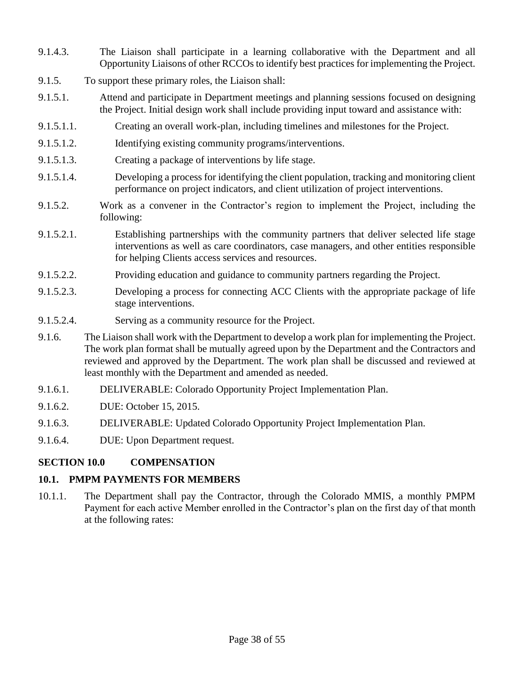- 9.1.4.3. The Liaison shall participate in a learning collaborative with the Department and all Opportunity Liaisons of other RCCOs to identify best practices for implementing the Project.
- 9.1.5. To support these primary roles, the Liaison shall:
- 9.1.5.1. Attend and participate in Department meetings and planning sessions focused on designing the Project. Initial design work shall include providing input toward and assistance with:
- 9.1.5.1.1. Creating an overall work-plan, including timelines and milestones for the Project.
- 9.1.5.1.2. Identifying existing community programs/interventions.
- 9.1.5.1.3. Creating a package of interventions by life stage.
- 9.1.5.1.4. Developing a process for identifying the client population, tracking and monitoring client performance on project indicators, and client utilization of project interventions.
- 9.1.5.2. Work as a convener in the Contractor's region to implement the Project, including the following:
- 9.1.5.2.1. Establishing partnerships with the community partners that deliver selected life stage interventions as well as care coordinators, case managers, and other entities responsible for helping Clients access services and resources.
- 9.1.5.2.2. Providing education and guidance to community partners regarding the Project.
- 9.1.5.2.3. Developing a process for connecting ACC Clients with the appropriate package of life stage interventions.
- 9.1.5.2.4. Serving as a community resource for the Project.
- 9.1.6. The Liaison shall work with the Department to develop a work plan for implementing the Project. The work plan format shall be mutually agreed upon by the Department and the Contractors and reviewed and approved by the Department. The work plan shall be discussed and reviewed at least monthly with the Department and amended as needed.
- 9.1.6.1. DELIVERABLE: Colorado Opportunity Project Implementation Plan.
- 9.1.6.2. DUE: October 15, 2015.
- 9.1.6.3. DELIVERABLE: Updated Colorado Opportunity Project Implementation Plan.
- 9.1.6.4. DUE: Upon Department request.

# **SECTION 10.0 COMPENSATION**

# **10.1. PMPM PAYMENTS FOR MEMBERS**

10.1.1. The Department shall pay the Contractor, through the Colorado MMIS, a monthly PMPM Payment for each active Member enrolled in the Contractor's plan on the first day of that month at the following rates: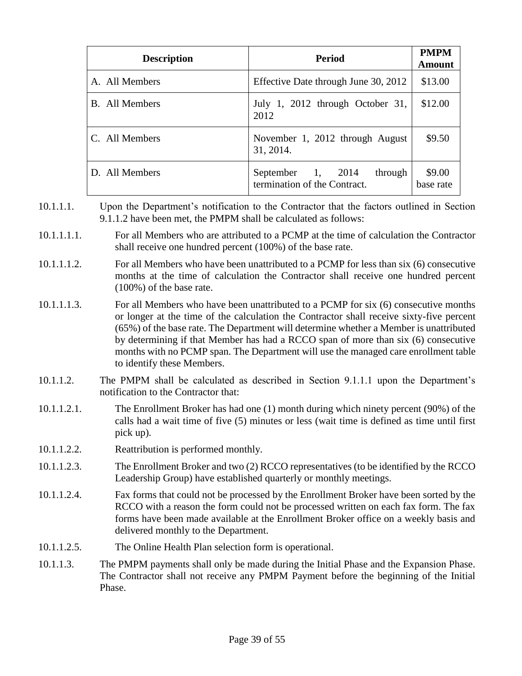| <b>Description</b>    | <b>Period</b>                                                | <b>PMPM</b><br><b>Amount</b> |
|-----------------------|--------------------------------------------------------------|------------------------------|
| A. All Members        | Effective Date through June 30, 2012                         | \$13.00                      |
| <b>B.</b> All Members | July 1, 2012 through October 31,<br>2012                     | \$12.00                      |
| C. All Members        | November 1, 2012 through August<br>31, 2014.                 | \$9.50                       |
| D. All Members        | September 1, 2014<br>through<br>termination of the Contract. | \$9.00<br>base rate          |

- 10.1.1.1. Upon the Department's notification to the Contractor that the factors outlined in Section 9.1.1.2 have been met, the PMPM shall be calculated as follows:
- 10.1.1.1.1. For all Members who are attributed to a PCMP at the time of calculation the Contractor shall receive one hundred percent (100%) of the base rate.
- 10.1.1.1.2. For all Members who have been unattributed to a PCMP for less than six (6) consecutive months at the time of calculation the Contractor shall receive one hundred percent (100%) of the base rate.
- 10.1.1.1.3. For all Members who have been unattributed to a PCMP for six (6) consecutive months or longer at the time of the calculation the Contractor shall receive sixty-five percent (65%) of the base rate. The Department will determine whether a Member is unattributed by determining if that Member has had a RCCO span of more than six (6) consecutive months with no PCMP span. The Department will use the managed care enrollment table to identify these Members.
- 10.1.1.2. The PMPM shall be calculated as described in Section 9.1.1.1 upon the Department's notification to the Contractor that:
- 10.1.1.2.1. The Enrollment Broker has had one (1) month during which ninety percent (90%) of the calls had a wait time of five (5) minutes or less (wait time is defined as time until first pick up).
- 10.1.1.2.2. Reattribution is performed monthly.
- 10.1.1.2.3. The Enrollment Broker and two (2) RCCO representatives (to be identified by the RCCO Leadership Group) have established quarterly or monthly meetings.
- 10.1.1.2.4. Fax forms that could not be processed by the Enrollment Broker have been sorted by the RCCO with a reason the form could not be processed written on each fax form. The fax forms have been made available at the Enrollment Broker office on a weekly basis and delivered monthly to the Department.
- 10.1.1.2.5. The Online Health Plan selection form is operational.
- 10.1.1.3. The PMPM payments shall only be made during the Initial Phase and the Expansion Phase. The Contractor shall not receive any PMPM Payment before the beginning of the Initial Phase.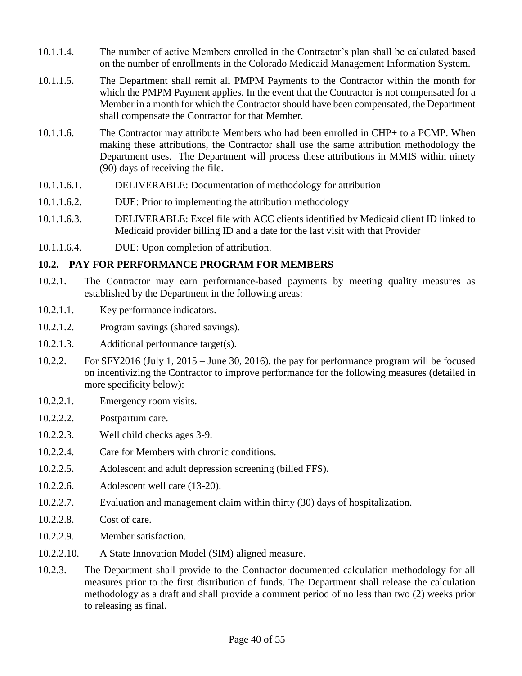- 10.1.1.4. The number of active Members enrolled in the Contractor's plan shall be calculated based on the number of enrollments in the Colorado Medicaid Management Information System.
- 10.1.1.5. The Department shall remit all PMPM Payments to the Contractor within the month for which the PMPM Payment applies. In the event that the Contractor is not compensated for a Member in a month for which the Contractor should have been compensated, the Department shall compensate the Contractor for that Member.
- 10.1.1.6. The Contractor may attribute Members who had been enrolled in CHP+ to a PCMP. When making these attributions, the Contractor shall use the same attribution methodology the Department uses. The Department will process these attributions in MMIS within ninety (90) days of receiving the file.
- 10.1.1.6.1. DELIVERABLE: Documentation of methodology for attribution
- 10.1.1.6.2. DUE: Prior to implementing the attribution methodology
- 10.1.1.6.3. DELIVERABLE: Excel file with ACC clients identified by Medicaid client ID linked to Medicaid provider billing ID and a date for the last visit with that Provider
- 10.1.1.6.4. DUE: Upon completion of attribution.

## **10.2. PAY FOR PERFORMANCE PROGRAM FOR MEMBERS**

- 10.2.1. The Contractor may earn performance-based payments by meeting quality measures as established by the Department in the following areas:
- 10.2.1.1. Key performance indicators.
- 10.2.1.2. Program savings (shared savings).
- 10.2.1.3. Additional performance target(s).
- 10.2.2. For SFY2016 (July 1, 2015 June 30, 2016), the pay for performance program will be focused on incentivizing the Contractor to improve performance for the following measures (detailed in more specificity below):
- 10.2.2.1. Emergency room visits.
- 10.2.2.2. Postpartum care.
- 10.2.2.3. Well child checks ages 3-9.
- 10.2.2.4. Care for Members with chronic conditions.
- 10.2.2.5. Adolescent and adult depression screening (billed FFS).
- 10.2.2.6. Adolescent well care (13-20).
- 10.2.2.7. Evaluation and management claim within thirty (30) days of hospitalization.
- 10.2.2.8. Cost of care.
- 10.2.2.9. Member satisfaction.
- 10.2.2.10. A State Innovation Model (SIM) aligned measure.
- 10.2.3. The Department shall provide to the Contractor documented calculation methodology for all measures prior to the first distribution of funds. The Department shall release the calculation methodology as a draft and shall provide a comment period of no less than two (2) weeks prior to releasing as final.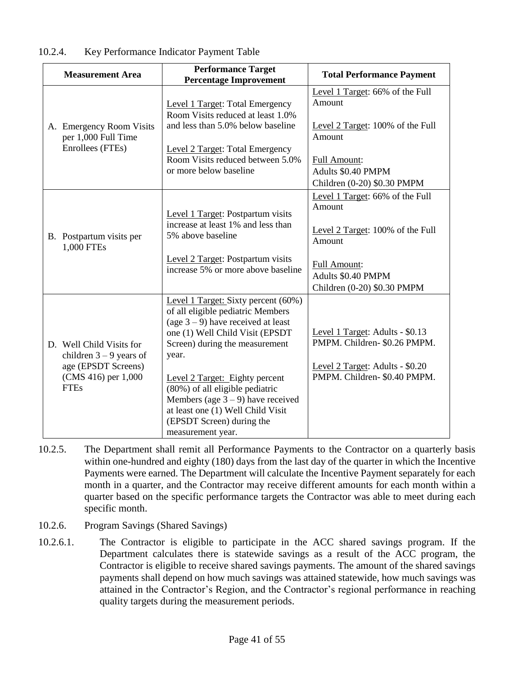| <b>Measurement Area</b>                                                                                            | <b>Performance Target</b><br><b>Percentage Improvement</b>                                                                                                                                                                                                                                                                                                                                          | <b>Total Performance Payment</b>                                                                                                                                    |
|--------------------------------------------------------------------------------------------------------------------|-----------------------------------------------------------------------------------------------------------------------------------------------------------------------------------------------------------------------------------------------------------------------------------------------------------------------------------------------------------------------------------------------------|---------------------------------------------------------------------------------------------------------------------------------------------------------------------|
| A. Emergency Room Visits<br>per 1,000 Full Time<br>Enrollees (FTEs)                                                | Level 1 Target: Total Emergency<br>Room Visits reduced at least 1.0%<br>and less than 5.0% below baseline<br><b>Level 2 Target: Total Emergency</b><br>Room Visits reduced between 5.0%<br>or more below baseline                                                                                                                                                                                   | Level 1 Target: 66% of the Full<br>Amount<br>Level 2 Target: 100% of the Full<br>Amount<br><b>Full Amount:</b><br>Adults \$0.40 PMPM                                |
|                                                                                                                    |                                                                                                                                                                                                                                                                                                                                                                                                     | Children (0-20) \$0.30 PMPM                                                                                                                                         |
| B. Postpartum visits per<br>1,000 FTEs                                                                             | Level 1 Target: Postpartum visits<br>increase at least 1% and less than<br>5% above baseline<br>Level 2 Target: Postpartum visits<br>increase 5% or more above baseline                                                                                                                                                                                                                             | Level 1 Target: 66% of the Full<br>Amount<br>Level 2 Target: 100% of the Full<br>Amount<br><b>Full Amount:</b><br>Adults \$0.40 PMPM<br>Children (0-20) \$0.30 PMPM |
| D. Well Child Visits for<br>children $3 - 9$ years of<br>age (EPSDT Screens)<br>(CMS 416) per 1,000<br><b>FTEs</b> | Level 1 Target: Sixty percent (60%)<br>of all eligible pediatric Members<br>(age $3 - 9$ ) have received at least<br>one (1) Well Child Visit (EPSDT<br>Screen) during the measurement<br>year.<br>Level 2 Target: Eighty percent<br>(80%) of all eligible pediatric<br>Members (age $3 - 9$ ) have received<br>at least one (1) Well Child Visit<br>(EPSDT Screen) during the<br>measurement year. | Level 1 Target: Adults - \$0.13<br>PMPM. Children- \$0.26 PMPM.<br>Level 2 Target: Adults - \$0.20<br>PMPM. Children-\$0.40 PMPM.                                   |

#### 10.2.4. Key Performance Indicator Payment Table

- 10.2.5. The Department shall remit all Performance Payments to the Contractor on a quarterly basis within one-hundred and eighty (180) days from the last day of the quarter in which the Incentive Payments were earned. The Department will calculate the Incentive Payment separately for each month in a quarter, and the Contractor may receive different amounts for each month within a quarter based on the specific performance targets the Contractor was able to meet during each specific month.
- 10.2.6. Program Savings (Shared Savings)
- 10.2.6.1. The Contractor is eligible to participate in the ACC shared savings program. If the Department calculates there is statewide savings as a result of the ACC program, the Contractor is eligible to receive shared savings payments. The amount of the shared savings payments shall depend on how much savings was attained statewide, how much savings was attained in the Contractor's Region, and the Contractor's regional performance in reaching quality targets during the measurement periods.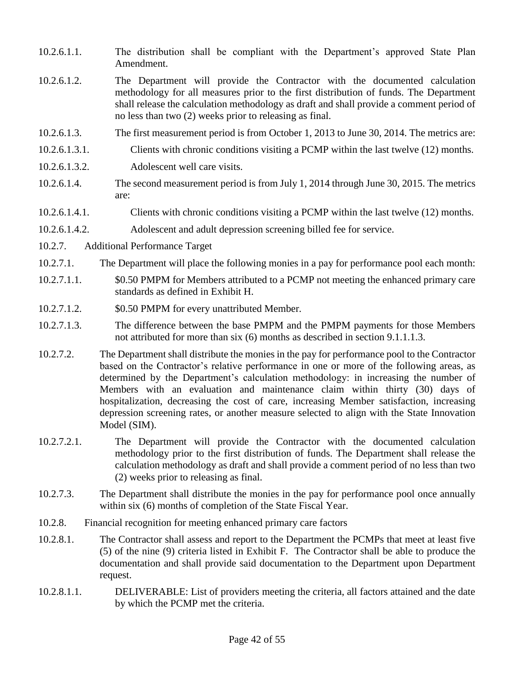- 10.2.6.1.1. The distribution shall be compliant with the Department's approved State Plan Amendment.
- 10.2.6.1.2. The Department will provide the Contractor with the documented calculation methodology for all measures prior to the first distribution of funds. The Department shall release the calculation methodology as draft and shall provide a comment period of no less than two (2) weeks prior to releasing as final.
- 10.2.6.1.3. The first measurement period is from October 1, 2013 to June 30, 2014. The metrics are:
- 10.2.6.1.3.1. Clients with chronic conditions visiting a PCMP within the last twelve (12) months.
- 10.2.6.1.3.2. Adolescent well care visits.
- 10.2.6.1.4. The second measurement period is from July 1, 2014 through June 30, 2015. The metrics are:
- 10.2.6.1.4.1. Clients with chronic conditions visiting a PCMP within the last twelve (12) months.
- 10.2.6.1.4.2. Adolescent and adult depression screening billed fee for service.
- 10.2.7. Additional Performance Target
- 10.2.7.1. The Department will place the following monies in a pay for performance pool each month:
- 10.2.7.1.1. \$0.50 PMPM for Members attributed to a PCMP not meeting the enhanced primary care standards as defined in Exhibit H.
- 10.2.7.1.2. \$0.50 PMPM for every unattributed Member.
- 10.2.7.1.3. The difference between the base PMPM and the PMPM payments for those Members not attributed for more than six (6) months as described in section 9.1.1.1.3.
- 10.2.7.2. The Department shall distribute the monies in the pay for performance pool to the Contractor based on the Contractor's relative performance in one or more of the following areas, as determined by the Department's calculation methodology: in increasing the number of Members with an evaluation and maintenance claim within thirty (30) days of hospitalization, decreasing the cost of care, increasing Member satisfaction, increasing depression screening rates, or another measure selected to align with the State Innovation Model (SIM).
- 10.2.7.2.1. The Department will provide the Contractor with the documented calculation methodology prior to the first distribution of funds. The Department shall release the calculation methodology as draft and shall provide a comment period of no less than two (2) weeks prior to releasing as final.
- 10.2.7.3. The Department shall distribute the monies in the pay for performance pool once annually within six (6) months of completion of the State Fiscal Year.
- 10.2.8. Financial recognition for meeting enhanced primary care factors
- 10.2.8.1. The Contractor shall assess and report to the Department the PCMPs that meet at least five (5) of the nine (9) criteria listed in Exhibit F. The Contractor shall be able to produce the documentation and shall provide said documentation to the Department upon Department request.
- 10.2.8.1.1. DELIVERABLE: List of providers meeting the criteria, all factors attained and the date by which the PCMP met the criteria.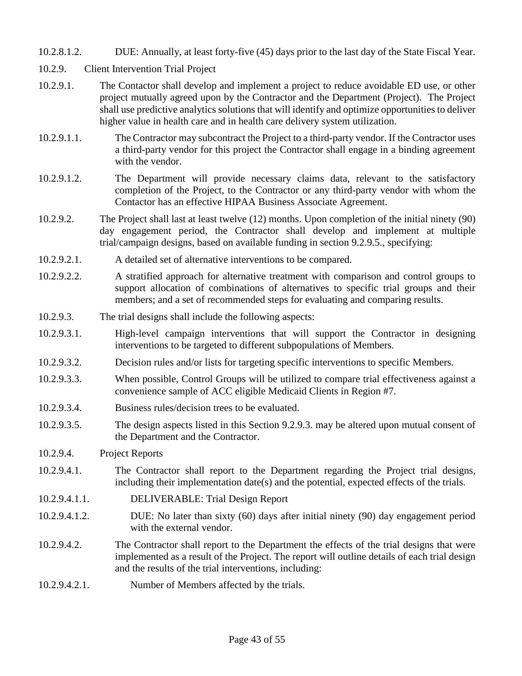- 10.2.8.1.2. DUE: Annually, at least forty-five (45) days prior to the last day of the State Fiscal Year.
- 10.2.9. Client Intervention Trial Project
- 10.2.9.1. The Contactor shall develop and implement a project to reduce avoidable ED use, or other project mutually agreed upon by the Contractor and the Department (Project). The Project shall use predictive analytics solutions that will identify and optimize opportunities to deliver higher value in health care and in health care delivery system utilization.
- 10.2.9.1.1. The Contractor may subcontract the Project to a third-party vendor. If the Contractor uses a third-party vendor for this project the Contractor shall engage in a binding agreement with the vendor.
- 10.2.9.1.2. The Department will provide necessary claims data, relevant to the satisfactory completion of the Project, to the Contractor or any third-party vendor with whom the Contactor has an effective HIPAA Business Associate Agreement.
- 10.2.9.2. The Project shall last at least twelve (12) months. Upon completion of the initial ninety (90) day engagement period, the Contractor shall develop and implement at multiple trial/campaign designs, based on available funding in section 9.2.9.5., specifying:
- 10.2.9.2.1. A detailed set of alternative interventions to be compared.
- 10.2.9.2.2. A stratified approach for alternative treatment with comparison and control groups to support allocation of combinations of alternatives to specific trial groups and their members; and a set of recommended steps for evaluating and comparing results.
- 10.2.9.3. The trial designs shall include the following aspects:
- 10.2.9.3.1. High-level campaign interventions that will support the Contractor in designing interventions to be targeted to different subpopulations of Members.
- 10.2.9.3.2. Decision rules and/or lists for targeting specific interventions to specific Members.
- 10.2.9.3.3. When possible, Control Groups will be utilized to compare trial effectiveness against a convenience sample of ACC eligible Medicaid Clients in Region #7.
- 10.2.9.3.4. Business rules/decision trees to be evaluated.
- 10.2.9.3.5. The design aspects listed in this Section 9.2.9.3. may be altered upon mutual consent of the Department and the Contractor.
- 10.2.9.4. Project Reports
- 10.2.9.4.1. The Contractor shall report to the Department regarding the Project trial designs, including their implementation date(s) and the potential, expected effects of the trials.
- 10.2.9.4.1.1. DELIVERABLE: Trial Design Report
- 10.2.9.4.1.2. DUE: No later than sixty (60) days after initial ninety (90) day engagement period with the external vendor.
- 10.2.9.4.2. The Contractor shall report to the Department the effects of the trial designs that were implemented as a result of the Project. The report will outline details of each trial design and the results of the trial interventions, including:
- 10.2.9.4.2.1. Number of Members affected by the trials.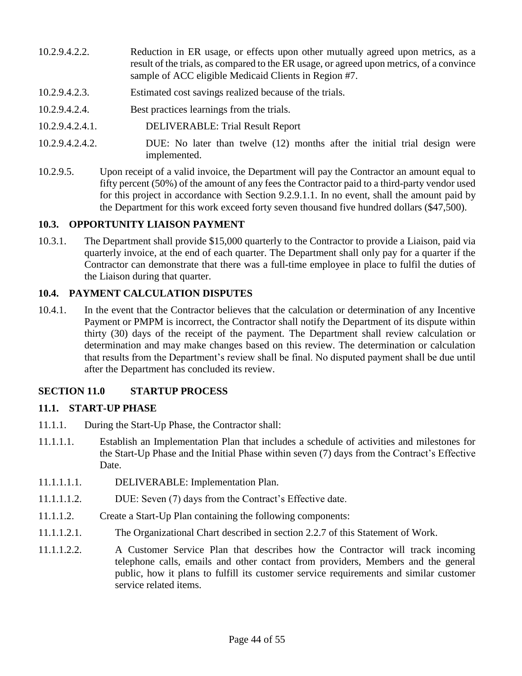- 10.2.9.4.2.2. Reduction in ER usage, or effects upon other mutually agreed upon metrics, as a result of the trials, as compared to the ER usage, or agreed upon metrics, of a convince sample of ACC eligible Medicaid Clients in Region #7.
- 10.2.9.4.2.3. Estimated cost savings realized because of the trials.
- 10.2.9.4.2.4. Best practices learnings from the trials.
- 10.2.9.4.2.4.1. DELIVERABLE: Trial Result Report
- 10.2.9.4.2.4.2. DUE: No later than twelve (12) months after the initial trial design were implemented.
- 10.2.9.5. Upon receipt of a valid invoice, the Department will pay the Contractor an amount equal to fifty percent (50%) of the amount of any fees the Contractor paid to a third-party vendor used for this project in accordance with Section 9.2.9.1.1. In no event, shall the amount paid by the Department for this work exceed forty seven thousand five hundred dollars (\$47,500).

#### **10.3. OPPORTUNITY LIAISON PAYMENT**

10.3.1. The Department shall provide \$15,000 quarterly to the Contractor to provide a Liaison, paid via quarterly invoice, at the end of each quarter. The Department shall only pay for a quarter if the Contractor can demonstrate that there was a full-time employee in place to fulfil the duties of the Liaison during that quarter.

#### **10.4. PAYMENT CALCULATION DISPUTES**

10.4.1. In the event that the Contractor believes that the calculation or determination of any Incentive Payment or PMPM is incorrect, the Contractor shall notify the Department of its dispute within thirty (30) days of the receipt of the payment. The Department shall review calculation or determination and may make changes based on this review. The determination or calculation that results from the Department's review shall be final. No disputed payment shall be due until after the Department has concluded its review.

## **SECTION 11.0 STARTUP PROCESS**

#### **11.1. START-UP PHASE**

- 11.1.1. During the Start-Up Phase, the Contractor shall:
- 11.1.1.1. Establish an Implementation Plan that includes a schedule of activities and milestones for the Start-Up Phase and the Initial Phase within seven (7) days from the Contract's Effective Date.
- 11.1.1.1.1. DELIVERABLE: Implementation Plan.
- 11.1.1.1.2. DUE: Seven (7) days from the Contract's Effective date.
- 11.1.1.2. Create a Start-Up Plan containing the following components:
- 11.1.1.2.1. The Organizational Chart described in section 2.2.7 of this Statement of Work.
- 11.1.1.2.2. A Customer Service Plan that describes how the Contractor will track incoming telephone calls, emails and other contact from providers, Members and the general public, how it plans to fulfill its customer service requirements and similar customer service related items.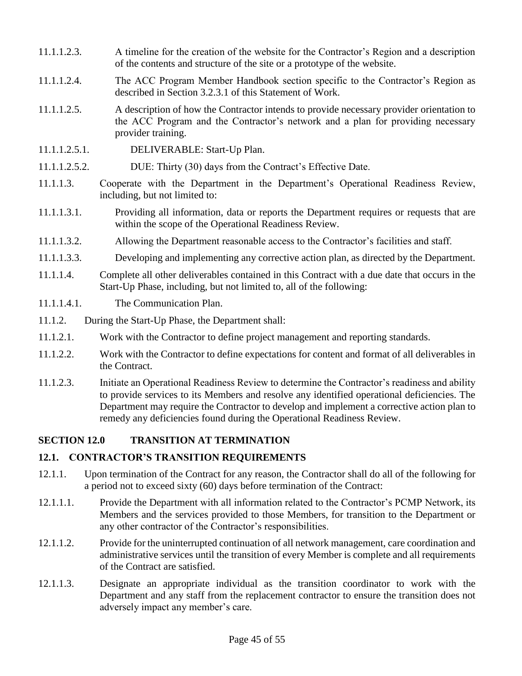- 11.1.1.2.3. A timeline for the creation of the website for the Contractor's Region and a description of the contents and structure of the site or a prototype of the website.
- 11.1.1.2.4. The ACC Program Member Handbook section specific to the Contractor's Region as described in Section 3.2.3.1 of this Statement of Work.
- 11.1.1.2.5. A description of how the Contractor intends to provide necessary provider orientation to the ACC Program and the Contractor's network and a plan for providing necessary provider training.
- 11.1.1.2.5.1. DELIVERABLE: Start-Up Plan.
- 11.1.1.2.5.2. DUE: Thirty (30) days from the Contract's Effective Date.
- 11.1.1.3. Cooperate with the Department in the Department's Operational Readiness Review, including, but not limited to:
- 11.1.1.3.1. Providing all information, data or reports the Department requires or requests that are within the scope of the Operational Readiness Review.
- 11.1.1.3.2. Allowing the Department reasonable access to the Contractor's facilities and staff.
- 11.1.1.3.3. Developing and implementing any corrective action plan, as directed by the Department.
- 11.1.1.4. Complete all other deliverables contained in this Contract with a due date that occurs in the Start-Up Phase, including, but not limited to, all of the following:
- 11.1.1.4.1. The Communication Plan.
- 11.1.2. During the Start-Up Phase, the Department shall:
- 11.1.2.1. Work with the Contractor to define project management and reporting standards.
- 11.1.2.2. Work with the Contractor to define expectations for content and format of all deliverables in the Contract.
- 11.1.2.3. Initiate an Operational Readiness Review to determine the Contractor's readiness and ability to provide services to its Members and resolve any identified operational deficiencies. The Department may require the Contractor to develop and implement a corrective action plan to remedy any deficiencies found during the Operational Readiness Review.

## **SECTION 12.0 TRANSITION AT TERMINATION**

## **12.1. CONTRACTOR'S TRANSITION REQUIREMENTS**

- 12.1.1. Upon termination of the Contract for any reason, the Contractor shall do all of the following for a period not to exceed sixty (60) days before termination of the Contract:
- 12.1.1.1. Provide the Department with all information related to the Contractor's PCMP Network, its Members and the services provided to those Members, for transition to the Department or any other contractor of the Contractor's responsibilities.
- 12.1.1.2. Provide for the uninterrupted continuation of all network management, care coordination and administrative services until the transition of every Member is complete and all requirements of the Contract are satisfied.
- 12.1.1.3. Designate an appropriate individual as the transition coordinator to work with the Department and any staff from the replacement contractor to ensure the transition does not adversely impact any member's care.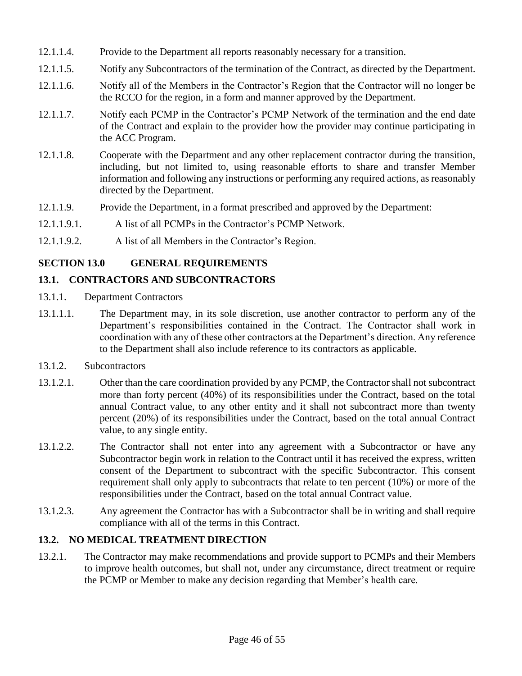- 12.1.1.4. Provide to the Department all reports reasonably necessary for a transition.
- 12.1.1.5. Notify any Subcontractors of the termination of the Contract, as directed by the Department.
- 12.1.1.6. Notify all of the Members in the Contractor's Region that the Contractor will no longer be the RCCO for the region, in a form and manner approved by the Department.
- 12.1.1.7. Notify each PCMP in the Contractor's PCMP Network of the termination and the end date of the Contract and explain to the provider how the provider may continue participating in the ACC Program.
- 12.1.1.8. Cooperate with the Department and any other replacement contractor during the transition, including, but not limited to, using reasonable efforts to share and transfer Member information and following any instructions or performing any required actions, as reasonably directed by the Department.
- 12.1.1.9. Provide the Department, in a format prescribed and approved by the Department:
- 12.1.1.9.1. A list of all PCMPs in the Contractor's PCMP Network.
- 12.1.1.9.2. A list of all Members in the Contractor's Region.

# **SECTION 13.0 GENERAL REQUIREMENTS**

# **13.1. CONTRACTORS AND SUBCONTRACTORS**

- 13.1.1. Department Contractors
- 13.1.1.1. The Department may, in its sole discretion, use another contractor to perform any of the Department's responsibilities contained in the Contract. The Contractor shall work in coordination with any of these other contractors at the Department's direction. Any reference to the Department shall also include reference to its contractors as applicable.
- 13.1.2. Subcontractors
- 13.1.2.1. Other than the care coordination provided by any PCMP, the Contractor shall not subcontract more than forty percent (40%) of its responsibilities under the Contract, based on the total annual Contract value, to any other entity and it shall not subcontract more than twenty percent (20%) of its responsibilities under the Contract, based on the total annual Contract value, to any single entity.
- 13.1.2.2. The Contractor shall not enter into any agreement with a Subcontractor or have any Subcontractor begin work in relation to the Contract until it has received the express, written consent of the Department to subcontract with the specific Subcontractor. This consent requirement shall only apply to subcontracts that relate to ten percent (10%) or more of the responsibilities under the Contract, based on the total annual Contract value.
- 13.1.2.3. Any agreement the Contractor has with a Subcontractor shall be in writing and shall require compliance with all of the terms in this Contract.

# **13.2. NO MEDICAL TREATMENT DIRECTION**

13.2.1. The Contractor may make recommendations and provide support to PCMPs and their Members to improve health outcomes, but shall not, under any circumstance, direct treatment or require the PCMP or Member to make any decision regarding that Member's health care.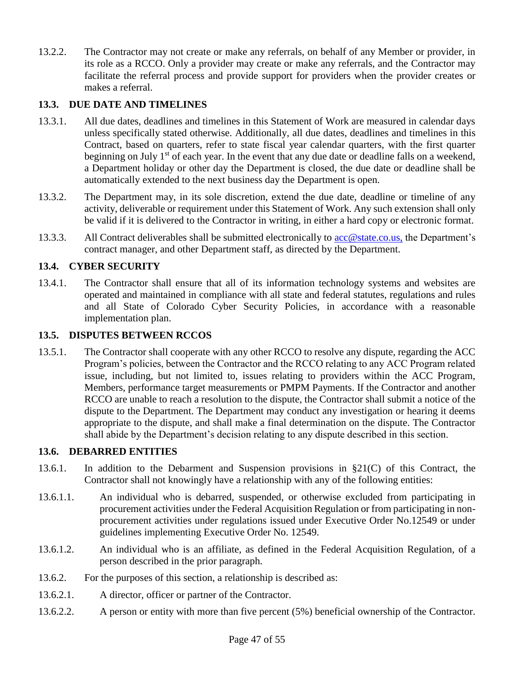13.2.2. The Contractor may not create or make any referrals, on behalf of any Member or provider, in its role as a RCCO. Only a provider may create or make any referrals, and the Contractor may facilitate the referral process and provide support for providers when the provider creates or makes a referral.

# **13.3. DUE DATE AND TIMELINES**

- 13.3.1. All due dates, deadlines and timelines in this Statement of Work are measured in calendar days unless specifically stated otherwise. Additionally, all due dates, deadlines and timelines in this Contract, based on quarters, refer to state fiscal year calendar quarters, with the first quarter beginning on July 1<sup>st</sup> of each year. In the event that any due date or deadline falls on a weekend, a Department holiday or other day the Department is closed, the due date or deadline shall be automatically extended to the next business day the Department is open.
- 13.3.2. The Department may, in its sole discretion, extend the due date, deadline or timeline of any activity, deliverable or requirement under this Statement of Work. Any such extension shall only be valid if it is delivered to the Contractor in writing, in either a hard copy or electronic format.
- 13.3.3. All Contract deliverables shall be submitted electronically to [acc@state.co.us,](mailto:acc@state.co.us) the Department's contract manager, and other Department staff, as directed by the Department.

## **13.4. CYBER SECURITY**

13.4.1. The Contractor shall ensure that all of its information technology systems and websites are operated and maintained in compliance with all state and federal statutes, regulations and rules and all State of Colorado Cyber Security Policies, in accordance with a reasonable implementation plan.

#### **13.5. DISPUTES BETWEEN RCCOS**

13.5.1. The Contractor shall cooperate with any other RCCO to resolve any dispute, regarding the ACC Program's policies, between the Contractor and the RCCO relating to any ACC Program related issue, including, but not limited to, issues relating to providers within the ACC Program, Members, performance target measurements or PMPM Payments. If the Contractor and another RCCO are unable to reach a resolution to the dispute, the Contractor shall submit a notice of the dispute to the Department. The Department may conduct any investigation or hearing it deems appropriate to the dispute, and shall make a final determination on the dispute. The Contractor shall abide by the Department's decision relating to any dispute described in this section.

#### **13.6. DEBARRED ENTITIES**

- 13.6.1. In addition to the Debarment and Suspension provisions in §21(C) of this Contract, the Contractor shall not knowingly have a relationship with any of the following entities:
- 13.6.1.1. An individual who is debarred, suspended, or otherwise excluded from participating in procurement activities under the Federal Acquisition Regulation or from participating in nonprocurement activities under regulations issued under Executive Order No.12549 or under guidelines implementing Executive Order No. 12549.
- 13.6.1.2. An individual who is an affiliate, as defined in the Federal Acquisition Regulation, of a person described in the prior paragraph.
- 13.6.2. For the purposes of this section, a relationship is described as:
- 13.6.2.1. A director, officer or partner of the Contractor.
- 13.6.2.2. A person or entity with more than five percent (5%) beneficial ownership of the Contractor.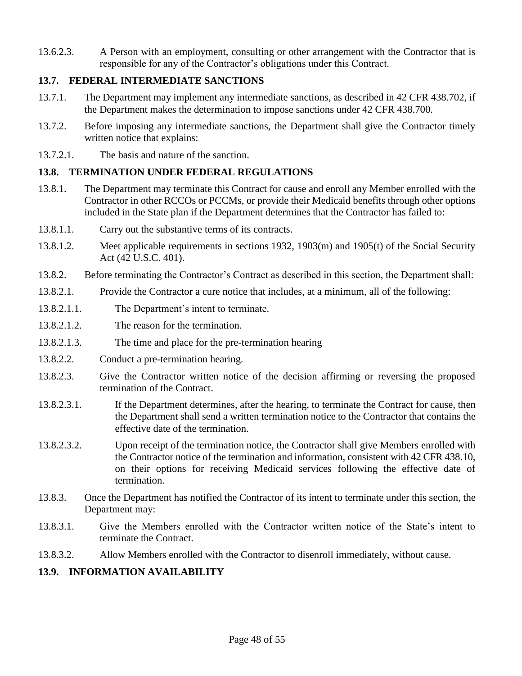13.6.2.3. A Person with an employment, consulting or other arrangement with the Contractor that is responsible for any of the Contractor's obligations under this Contract.

## **13.7. FEDERAL INTERMEDIATE SANCTIONS**

- 13.7.1. The Department may implement any intermediate sanctions, as described in 42 CFR 438.702, if the Department makes the determination to impose sanctions under 42 CFR 438.700.
- 13.7.2. Before imposing any intermediate sanctions, the Department shall give the Contractor timely written notice that explains:
- 13.7.2.1. The basis and nature of the sanction.

#### **13.8. TERMINATION UNDER FEDERAL REGULATIONS**

- 13.8.1. The Department may terminate this Contract for cause and enroll any Member enrolled with the Contractor in other RCCOs or PCCMs, or provide their Medicaid benefits through other options included in the State plan if the Department determines that the Contractor has failed to:
- 13.8.1.1. Carry out the substantive terms of its contracts.
- 13.8.1.2. Meet applicable requirements in sections 1932, 1903(m) and 1905(t) of the Social Security Act (42 U.S.C. 401).
- 13.8.2. Before terminating the Contractor's Contract as described in this section, the Department shall:
- 13.8.2.1. Provide the Contractor a cure notice that includes, at a minimum, all of the following:
- 13.8.2.1.1. The Department's intent to terminate.
- 13.8.2.1.2. The reason for the termination.
- 13.8.2.1.3. The time and place for the pre-termination hearing
- 13.8.2.2. Conduct a pre-termination hearing.
- 13.8.2.3. Give the Contractor written notice of the decision affirming or reversing the proposed termination of the Contract.
- 13.8.2.3.1. If the Department determines, after the hearing, to terminate the Contract for cause, then the Department shall send a written termination notice to the Contractor that contains the effective date of the termination.
- 13.8.2.3.2. Upon receipt of the termination notice, the Contractor shall give Members enrolled with the Contractor notice of the termination and information, consistent with 42 CFR 438.10, on their options for receiving Medicaid services following the effective date of termination.
- 13.8.3. Once the Department has notified the Contractor of its intent to terminate under this section, the Department may:
- 13.8.3.1. Give the Members enrolled with the Contractor written notice of the State's intent to terminate the Contract.
- 13.8.3.2. Allow Members enrolled with the Contractor to disenroll immediately, without cause.

## **13.9. INFORMATION AVAILABILITY**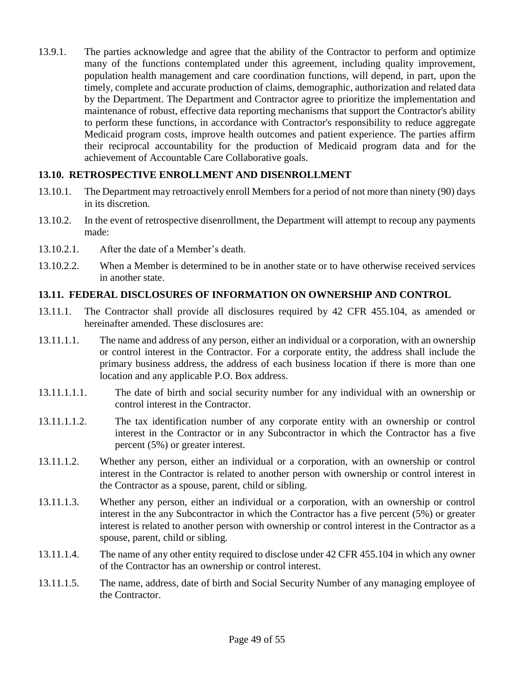13.9.1. The parties acknowledge and agree that the ability of the Contractor to perform and optimize many of the functions contemplated under this agreement, including quality improvement, population health management and care coordination functions, will depend, in part, upon the timely, complete and accurate production of claims, demographic, authorization and related data by the Department. The Department and Contractor agree to prioritize the implementation and maintenance of robust, effective data reporting mechanisms that support the Contractor's ability to perform these functions, in accordance with Contractor's responsibility to reduce aggregate Medicaid program costs, improve health outcomes and patient experience. The parties affirm their reciprocal accountability for the production of Medicaid program data and for the achievement of Accountable Care Collaborative goals.

## **13.10. RETROSPECTIVE ENROLLMENT AND DISENROLLMENT**

- 13.10.1. The Department may retroactively enroll Members for a period of not more than ninety (90) days in its discretion.
- 13.10.2. In the event of retrospective disenrollment, the Department will attempt to recoup any payments made:
- 13.10.2.1. After the date of a Member's death.
- 13.10.2.2. When a Member is determined to be in another state or to have otherwise received services in another state.

## **13.11. FEDERAL DISCLOSURES OF INFORMATION ON OWNERSHIP AND CONTROL**

- 13.11.1. The Contractor shall provide all disclosures required by 42 CFR 455.104, as amended or hereinafter amended. These disclosures are:
- 13.11.1.1. The name and address of any person, either an individual or a corporation, with an ownership or control interest in the Contractor. For a corporate entity, the address shall include the primary business address, the address of each business location if there is more than one location and any applicable P.O. Box address.
- 13.11.1.1.1. The date of birth and social security number for any individual with an ownership or control interest in the Contractor.
- 13.11.1.1.2. The tax identification number of any corporate entity with an ownership or control interest in the Contractor or in any Subcontractor in which the Contractor has a five percent (5%) or greater interest.
- 13.11.1.2. Whether any person, either an individual or a corporation, with an ownership or control interest in the Contractor is related to another person with ownership or control interest in the Contractor as a spouse, parent, child or sibling.
- 13.11.1.3. Whether any person, either an individual or a corporation, with an ownership or control interest in the any Subcontractor in which the Contractor has a five percent (5%) or greater interest is related to another person with ownership or control interest in the Contractor as a spouse, parent, child or sibling.
- 13.11.1.4. The name of any other entity required to disclose under 42 CFR 455.104 in which any owner of the Contractor has an ownership or control interest.
- 13.11.1.5. The name, address, date of birth and Social Security Number of any managing employee of the Contractor.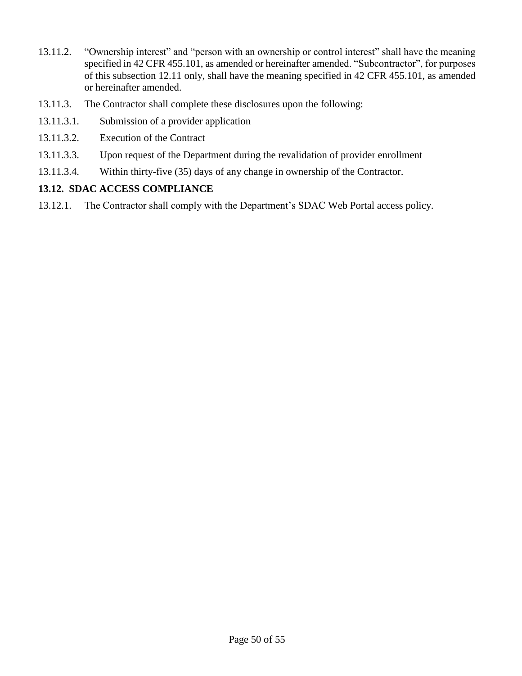- 13.11.2. "Ownership interest" and "person with an ownership or control interest" shall have the meaning specified in 42 CFR 455.101, as amended or hereinafter amended. "Subcontractor", for purposes of this subsection 12.11 only, shall have the meaning specified in 42 CFR 455.101, as amended or hereinafter amended.
- 13.11.3. The Contractor shall complete these disclosures upon the following:
- 13.11.3.1. Submission of a provider application
- 13.11.3.2. Execution of the Contract
- 13.11.3.3. Upon request of the Department during the revalidation of provider enrollment
- 13.11.3.4. Within thirty-five (35) days of any change in ownership of the Contractor.

## **13.12. SDAC ACCESS COMPLIANCE**

13.12.1. The Contractor shall comply with the Department's SDAC Web Portal access policy.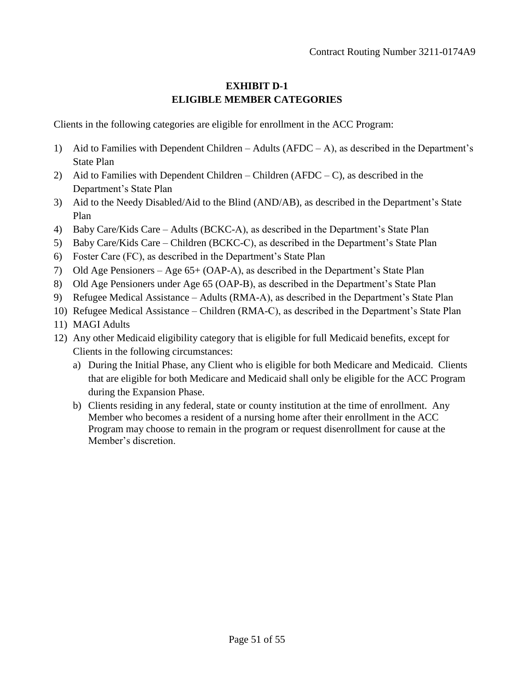## **EXHIBIT D-1 ELIGIBLE MEMBER CATEGORIES**

Clients in the following categories are eligible for enrollment in the ACC Program:

- 1) Aid to Families with Dependent Children Adults (AFDC A), as described in the Department's State Plan
- 2) Aid to Families with Dependent Children Children (AFDC C), as described in the Department's State Plan
- 3) Aid to the Needy Disabled/Aid to the Blind (AND/AB), as described in the Department's State Plan
- 4) Baby Care/Kids Care Adults (BCKC-A), as described in the Department's State Plan
- 5) Baby Care/Kids Care Children (BCKC-C), as described in the Department's State Plan
- 6) Foster Care (FC), as described in the Department's State Plan
- 7) Old Age Pensioners Age 65+ (OAP-A), as described in the Department's State Plan
- 8) Old Age Pensioners under Age 65 (OAP-B), as described in the Department's State Plan
- 9) Refugee Medical Assistance Adults (RMA-A), as described in the Department's State Plan
- 10) Refugee Medical Assistance Children (RMA-C), as described in the Department's State Plan
- 11) MAGI Adults
- 12) Any other Medicaid eligibility category that is eligible for full Medicaid benefits, except for Clients in the following circumstances:
	- a) During the Initial Phase, any Client who is eligible for both Medicare and Medicaid. Clients that are eligible for both Medicare and Medicaid shall only be eligible for the ACC Program during the Expansion Phase.
	- b) Clients residing in any federal, state or county institution at the time of enrollment. Any Member who becomes a resident of a nursing home after their enrollment in the ACC Program may choose to remain in the program or request disenrollment for cause at the Member's discretion.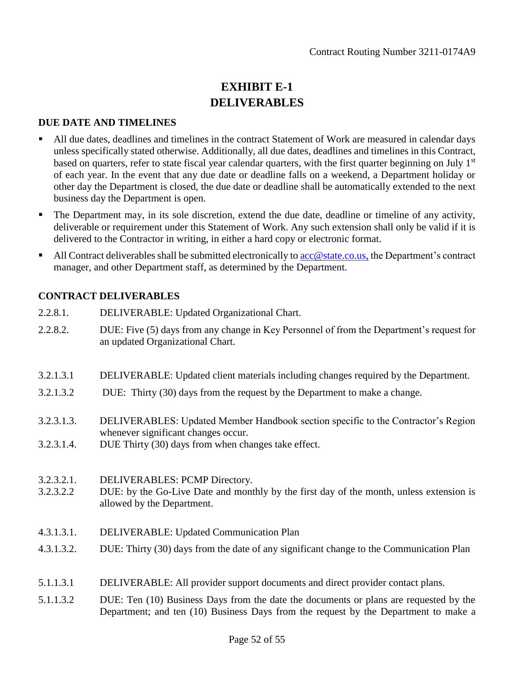# **EXHIBIT E-1 DELIVERABLES**

#### **DUE DATE AND TIMELINES**

- All due dates, deadlines and timelines in the contract Statement of Work are measured in calendar days unless specifically stated otherwise. Additionally, all due dates, deadlines and timelines in this Contract, based on quarters, refer to state fiscal year calendar quarters, with the first quarter beginning on July  $1<sup>st</sup>$ of each year. In the event that any due date or deadline falls on a weekend, a Department holiday or other day the Department is closed, the due date or deadline shall be automatically extended to the next business day the Department is open.
- The Department may, in its sole discretion, extend the due date, deadline or timeline of any activity, deliverable or requirement under this Statement of Work. Any such extension shall only be valid if it is delivered to the Contractor in writing, in either a hard copy or electronic format.
- $\blacksquare$  All Contract deliverables shall be submitted electronically to acc @ state.co.us, the Department's contract manager, and other Department staff, as determined by the Department.

## **CONTRACT DELIVERABLES**

- 2.2.8.1. DELIVERABLE: Updated Organizational Chart.
- 2.2.8.2. DUE: Five (5) days from any change in Key Personnel of from the Department's request for an updated Organizational Chart.
- 3.2.1.3.1 DELIVERABLE: Updated client materials including changes required by the Department.
- 3.2.1.3.2 DUE: Thirty (30) days from the request by the Department to make a change.
- 3.2.3.1.3. DELIVERABLES: Updated Member Handbook section specific to the Contractor's Region whenever significant changes occur.
- 3.2.3.1.4. DUE Thirty (30) days from when changes take effect.
- 3.2.3.2.1. DELIVERABLES: PCMP Directory.
- 3.2.3.2.2 DUE: by the Go-Live Date and monthly by the first day of the month, unless extension is allowed by the Department.
- 4.3.1.3.1. DELIVERABLE: Updated Communication Plan
- 4.3.1.3.2. DUE: Thirty (30) days from the date of any significant change to the Communication Plan
- 5.1.1.3.1 DELIVERABLE: All provider support documents and direct provider contact plans.
- 5.1.1.3.2 DUE: Ten (10) Business Days from the date the documents or plans are requested by the Department; and ten (10) Business Days from the request by the Department to make a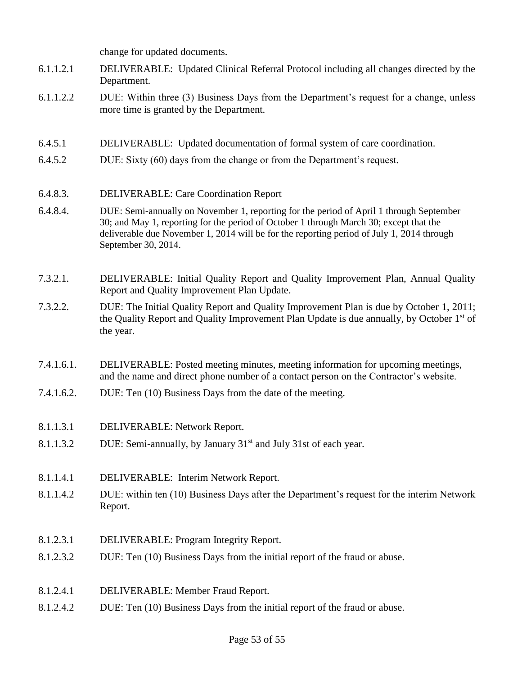change for updated documents.

- 6.1.1.2.1 DELIVERABLE: Updated Clinical Referral Protocol including all changes directed by the Department.
- 6.1.1.2.2 DUE: Within three (3) Business Days from the Department's request for a change, unless more time is granted by the Department.
- 6.4.5.1 DELIVERABLE: Updated documentation of formal system of care coordination.
- 6.4.5.2 DUE: Sixty (60) days from the change or from the Department's request.
- 6.4.8.3. DELIVERABLE: Care Coordination Report
- 6.4.8.4. DUE: Semi-annually on November 1, reporting for the period of April 1 through September 30; and May 1, reporting for the period of October 1 through March 30; except that the deliverable due November 1, 2014 will be for the reporting period of July 1, 2014 through September 30, 2014.
- 7.3.2.1. DELIVERABLE: Initial Quality Report and Quality Improvement Plan, Annual Quality Report and Quality Improvement Plan Update.
- 7.3.2.2. DUE: The Initial Quality Report and Quality Improvement Plan is due by October 1, 2011; the Quality Report and Quality Improvement Plan Update is due annually, by October 1<sup>st</sup> of the year.
- 7.4.1.6.1. DELIVERABLE: Posted meeting minutes, meeting information for upcoming meetings, and the name and direct phone number of a contact person on the Contractor's website.
- 7.4.1.6.2. DUE: Ten (10) Business Days from the date of the meeting.
- 8.1.1.3.1 DELIVERABLE: Network Report.
- 8.1.1.3.2 DUE: Semi-annually, by January  $31<sup>st</sup>$  and July 31st of each year.
- 8.1.1.4.1 DELIVERABLE: Interim Network Report.
- 8.1.1.4.2 DUE: within ten (10) Business Days after the Department's request for the interim Network Report.
- 8.1.2.3.1 DELIVERABLE: Program Integrity Report.
- 8.1.2.3.2 DUE: Ten (10) Business Days from the initial report of the fraud or abuse.
- 8.1.2.4.1 DELIVERABLE: Member Fraud Report.
- 8.1.2.4.2 DUE: Ten (10) Business Days from the initial report of the fraud or abuse.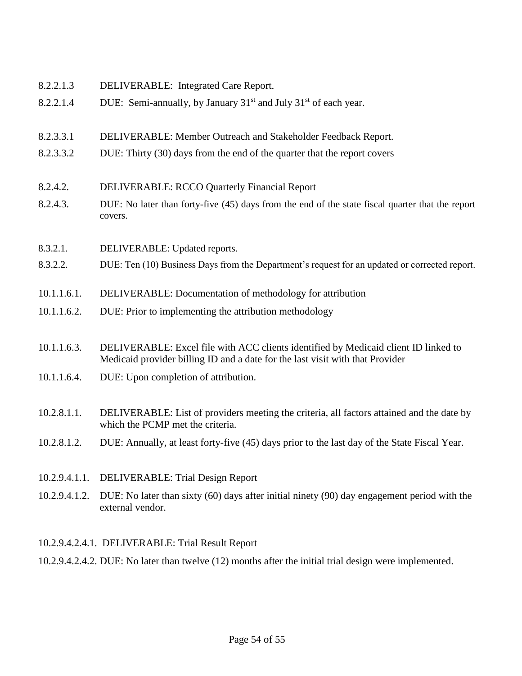- 8.2.2.1.3 DELIVERABLE: Integrated Care Report.
- 8.2.2.1.4 DUE: Semi-annually, by January  $31<sup>st</sup>$  and July  $31<sup>st</sup>$  of each year.
- 8.2.3.3.1 DELIVERABLE: Member Outreach and Stakeholder Feedback Report.
- 8.2.3.3.2 DUE: Thirty (30) days from the end of the quarter that the report covers
- 8.2.4.2. DELIVERABLE: RCCO Quarterly Financial Report
- 8.2.4.3. DUE: No later than forty-five (45) days from the end of the state fiscal quarter that the report covers.
- 8.3.2.1. DELIVERABLE: Updated reports.
- 8.3.2.2. DUE: Ten (10) Business Days from the Department's request for an updated or corrected report.
- 10.1.1.6.1. DELIVERABLE: Documentation of methodology for attribution
- 10.1.1.6.2. DUE: Prior to implementing the attribution methodology
- 10.1.1.6.3. DELIVERABLE: Excel file with ACC clients identified by Medicaid client ID linked to Medicaid provider billing ID and a date for the last visit with that Provider
- 10.1.1.6.4. DUE: Upon completion of attribution.
- 10.2.8.1.1. DELIVERABLE: List of providers meeting the criteria, all factors attained and the date by which the PCMP met the criteria.
- 10.2.8.1.2. DUE: Annually, at least forty-five (45) days prior to the last day of the State Fiscal Year.
- 10.2.9.4.1.1. DELIVERABLE: Trial Design Report
- 10.2.9.4.1.2. DUE: No later than sixty (60) days after initial ninety (90) day engagement period with the external vendor.

#### 10.2.9.4.2.4.1. DELIVERABLE: Trial Result Report

10.2.9.4.2.4.2. DUE: No later than twelve (12) months after the initial trial design were implemented.